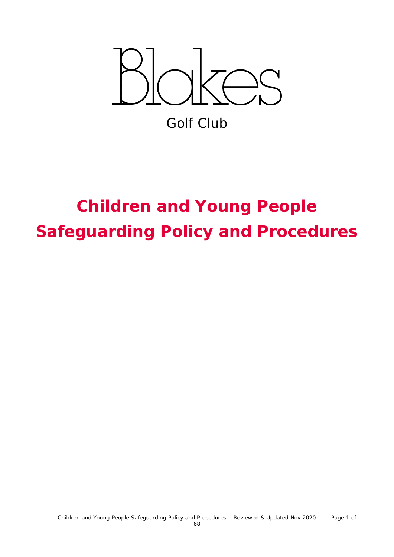

Golf Club

# **Children and Young People Safeguarding Policy and Procedures**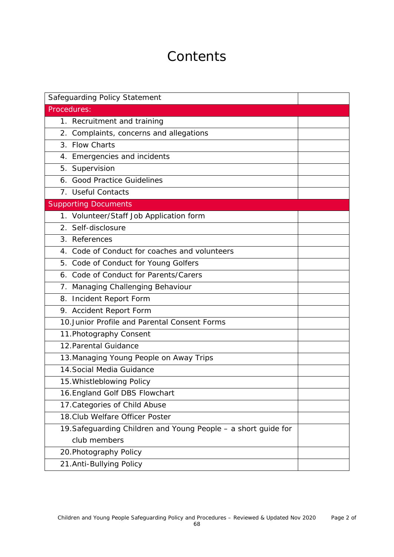# **Contents**

| Safeguarding Policy Statement                                  |  |  |  |  |
|----------------------------------------------------------------|--|--|--|--|
| Procedures:                                                    |  |  |  |  |
| 1. Recruitment and training                                    |  |  |  |  |
| 2. Complaints, concerns and allegations                        |  |  |  |  |
| 3. Flow Charts                                                 |  |  |  |  |
| 4. Emergencies and incidents                                   |  |  |  |  |
| 5. Supervision                                                 |  |  |  |  |
| 6. Good Practice Guidelines                                    |  |  |  |  |
| 7. Useful Contacts                                             |  |  |  |  |
| <b>Supporting Documents</b>                                    |  |  |  |  |
| 1. Volunteer/Staff Job Application form                        |  |  |  |  |
| 2. Self-disclosure                                             |  |  |  |  |
| 3. References                                                  |  |  |  |  |
| 4. Code of Conduct for coaches and volunteers                  |  |  |  |  |
| 5. Code of Conduct for Young Golfers                           |  |  |  |  |
| 6. Code of Conduct for Parents/Carers                          |  |  |  |  |
| 7. Managing Challenging Behaviour                              |  |  |  |  |
| 8. Incident Report Form                                        |  |  |  |  |
| 9. Accident Report Form                                        |  |  |  |  |
| 10. Junior Profile and Parental Consent Forms                  |  |  |  |  |
| 11. Photography Consent                                        |  |  |  |  |
| 12. Parental Guidance                                          |  |  |  |  |
| 13. Managing Young People on Away Trips                        |  |  |  |  |
| 14. Social Media Guidance                                      |  |  |  |  |
| 15. Whistleblowing Policy                                      |  |  |  |  |
| 16. England Golf DBS Flowchart                                 |  |  |  |  |
| 17. Categories of Child Abuse                                  |  |  |  |  |
| 18. Club Welfare Officer Poster                                |  |  |  |  |
| 19. Safeguarding Children and Young People - a short guide for |  |  |  |  |
| club members                                                   |  |  |  |  |
| 20. Photography Policy                                         |  |  |  |  |
| 21.Anti-Bullying Policy                                        |  |  |  |  |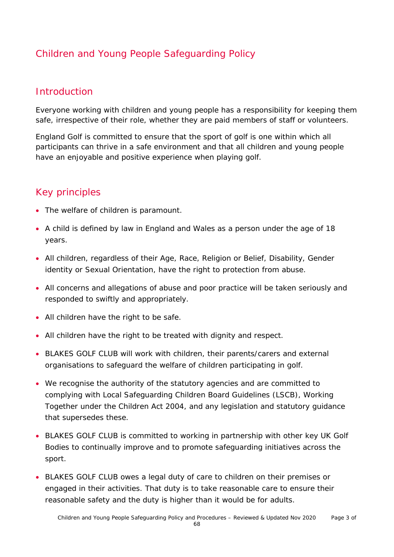# Children and Young People Safeguarding Policy

### **Introduction**

Everyone working with children and young people has a responsibility for keeping them safe, irrespective of their role, whether they are paid members of staff or volunteers.

England Golf is committed to ensure that the sport of golf is one within which all participants can thrive in a safe environment and that all children and young people have an enjoyable and positive experience when playing golf.

### Key principles

- The welfare of children is paramount.
- A child is defined by law in England and Wales as a person under the age of 18 years.
- All children, regardless of their Age, Race, Religion or Belief, Disability, Gender identity or Sexual Orientation, have the right to protection from abuse.
- All concerns and allegations of abuse and poor practice will be taken seriously and responded to swiftly and appropriately.
- All children have the right to be safe.
- All children have the right to be treated with dignity and respect.
- BLAKES GOLF CLUB will work with children, their parents/carers and external organisations to safeguard the welfare of children participating in golf.
- We recognise the authority of the statutory agencies and are committed to complying with Local Safeguarding Children Board Guidelines (LSCB), Working Together under the Children Act 2004, and any legislation and statutory guidance that supersedes these.
- BLAKES GOLF CLUB is committed to working in partnership with other key UK Golf Bodies to continually improve and to promote safeguarding initiatives across the sport.
- BLAKES GOLF CLUB owes a legal duty of care to children on their premises or engaged in their activities. That duty is to take reasonable care to ensure their reasonable safety and the duty is higher than it would be for adults.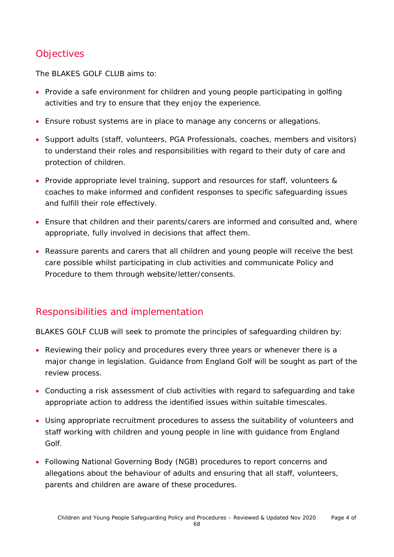# **Objectives**

The BLAKES GOLF CLUB aims to:

- Provide a safe environment for children and young people participating in golfing activities and try to ensure that they enjoy the experience.
- Ensure robust systems are in place to manage any concerns or allegations.
- Support adults (staff, volunteers, PGA Professionals, coaches, members and visitors) to understand their roles and responsibilities with regard to their duty of care and protection of children.
- Provide appropriate level training, support and resources for staff, volunteers & coaches to make informed and confident responses to specific safeguarding issues and fulfill their role effectively.
- Ensure that children and their parents/carers are informed and consulted and, where appropriate, fully involved in decisions that affect them.
- Reassure parents and carers that all children and young people will receive the best care possible whilst participating in club activities and communicate Policy and Procedure to them through website/letter/consents.

### Responsibilities and implementation

BLAKES GOLF CLUB will seek to promote the principles of safeguarding children by:

- Reviewing their policy and procedures every three years or whenever there is a major change in legislation. Guidance from England Golf will be sought as part of the review process.
- Conducting a risk assessment of club activities with regard to safeguarding and take appropriate action to address the identified issues within suitable timescales.
- Using appropriate recruitment procedures to assess the suitability of volunteers and staff working with children and young people in line with guidance from England Golf.
- Following National Governing Body (NGB) procedures to report concerns and allegations about the behaviour of adults and ensuring that all staff, volunteers, parents and children are aware of these procedures.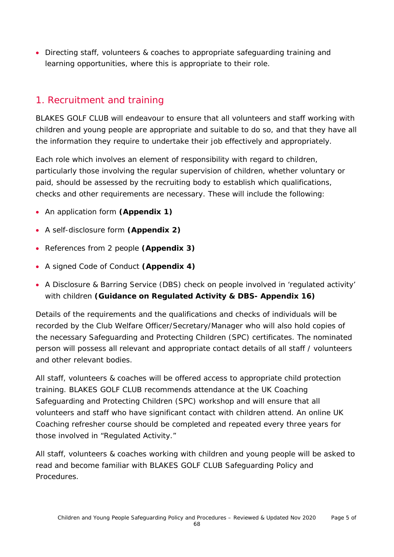• Directing staff, volunteers & coaches to appropriate safeguarding training and learning opportunities, where this is appropriate to their role.

### 1. Recruitment and training

BLAKES GOLF CLUB will endeavour to ensure that all volunteers and staff working with children and young people are appropriate and suitable to do so, and that they have all the information they require to undertake their job effectively and appropriately.

Each role which involves an element of responsibility with regard to children, particularly those involving the regular supervision of children, whether voluntary or paid, should be assessed by the recruiting body to establish which qualifications, checks and other requirements are necessary. These will include the following:

- An application form **(Appendix 1)**
- A self-disclosure form **(Appendix 2)**
- References from 2 people **(Appendix 3)**
- A signed Code of Conduct **(Appendix 4)**
- A Disclosure & Barring Service (DBS) check on people involved in 'regulated activity' with children **(Guidance on Regulated Activity & DBS- Appendix 16)**

Details of the requirements and the qualifications and checks of individuals will be recorded by the Club Welfare Officer/Secretary/Manager who will also hold copies of the necessary Safeguarding and Protecting Children (SPC) certificates. The nominated person will possess all relevant and appropriate contact details of all staff / volunteers and other relevant bodies.

All staff, volunteers & coaches will be offered access to appropriate child protection training. BLAKES GOLF CLUB recommends attendance at the UK Coaching Safeguarding and Protecting Children (SPC) workshop and will ensure that all volunteers and staff who have significant contact with children attend. An online UK Coaching refresher course should be completed and repeated every three years for those involved in "Regulated Activity."

All staff, volunteers & coaches working with children and young people will be asked to read and become familiar with BLAKES GOLF CLUB Safeguarding Policy and **Procedures**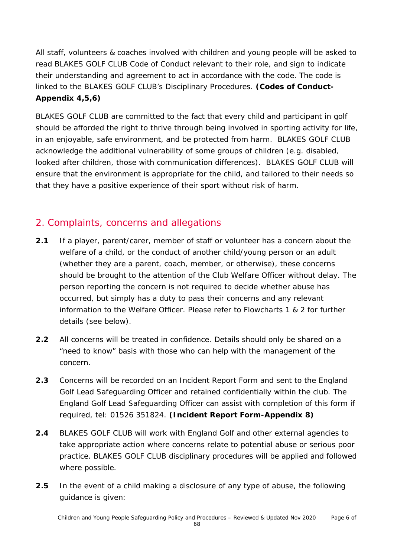All staff, volunteers & coaches involved with children and young people will be asked to read BLAKES GOLF CLUB Code of Conduct relevant to their role, and sign to indicate their understanding and agreement to act in accordance with the code. The code is linked to the BLAKES GOLF CLUB's Disciplinary Procedures. **(Codes of Conduct-Appendix 4,5,6)**

BLAKES GOLF CLUB are committed to the fact that every child and participant in golf should be afforded the right to thrive through being involved in sporting activity for life, in an enjoyable, safe environment, and be protected from harm. BLAKES GOLF CLUB acknowledge the additional vulnerability of some groups of children (e.g. disabled, looked after children, those with communication differences). BLAKES GOLF CLUB will ensure that the environment is appropriate for the child, and tailored to their needs so that they have a positive experience of their sport without risk of harm.

### 2. Complaints, concerns and allegations

- **2.1** If a player, parent/carer, member of staff or volunteer has a concern about the welfare of a child, or the conduct of another child/young person or an adult (whether they are a parent, coach, member, or otherwise), these concerns should be brought to the attention of the Club Welfare Officer without delay. The person reporting the concern is not required to decide whether abuse has occurred, but simply has a duty to pass their concerns and any relevant information to the Welfare Officer. Please refer to Flowcharts 1 & 2 for further details (see below).
- **2.2** All concerns will be treated in confidence. Details should only be shared on a "need to know" basis with those who can help with the management of the concern.
- **2.3** Concerns will be recorded on an Incident Report Form and sent to the England Golf Lead Safeguarding Officer and retained confidentially within the club. The England Golf Lead Safeguarding Officer can assist with completion of this form if required, tel: 01526 351824. **(Incident Report Form-Appendix 8)**
- **2.4** BLAKES GOLF CLUB will work with England Golf and other external agencies to take appropriate action where concerns relate to potential abuse or serious poor practice. BLAKES GOLF CLUB disciplinary procedures will be applied and followed where possible.
- **2.5** In the event of a child making a disclosure of any type of abuse, the following guidance is given: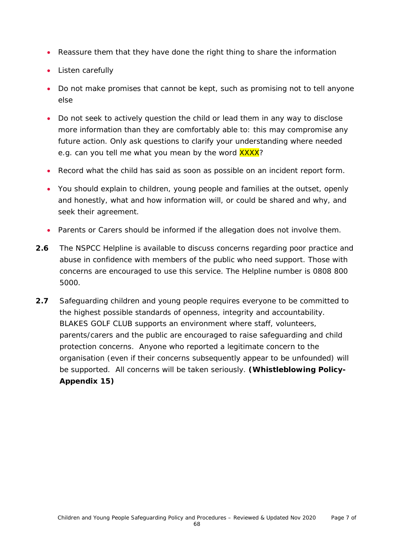- Reassure them that they have done the right thing to share the information
- Listen carefully
- Do not make promises that cannot be kept, such as promising not to tell anyone else
- Do not seek to actively question the child or lead them in any way to disclose more information than they are comfortably able to: this may compromise any future action. Only ask questions to clarify your understanding where needed e.g. can you tell me what you mean by the word **XXXX**?
- Record what the child has said as soon as possible on an incident report form.
- You should explain to children, young people and families at the outset, openly and honestly, what and how information will, or could be shared and why, and seek their agreement.
- Parents or Carers should be informed if the allegation does not involve them.
- **2.6** The NSPCC Helpline is available to discuss concerns regarding poor practice and abuse in confidence with members of the public who need support. Those with concerns are encouraged to use this service. The Helpline number is 0808 800 5000.
- **2.7** Safeguarding children and young people requires everyone to be committed to the highest possible standards of openness, integrity and accountability. BLAKES GOLF CLUB supports an environment where staff, volunteers, parents/carers and the public are encouraged to raise safeguarding and child protection concerns. Anyone who reported a legitimate concern to the organisation (even if their concerns subsequently appear to be unfounded) will be supported. All concerns will be taken seriously. **(Whistleblowing Policy-Appendix 15)**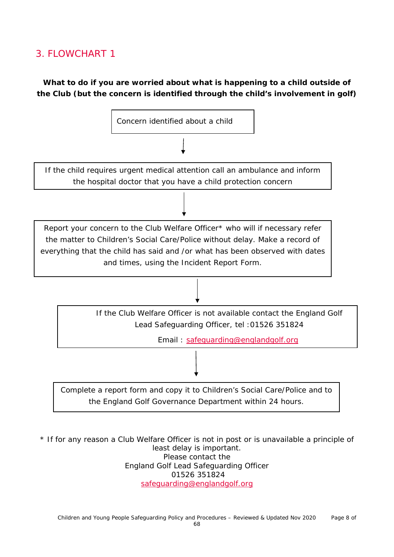### 3. FLOWCHART 1

**What to do if you are worried about what is happening to a child outside of the Club (but the concern is identified through the child's involvement in golf)**



\* If for any reason a Club Welfare Officer is not in post or is unavailable a principle of least delay is important. Please contact the England Golf Lead Safeguarding Officer 01526 351824 [safeguarding@englandgolf.org](mailto:safeguarding@englandgolf.org)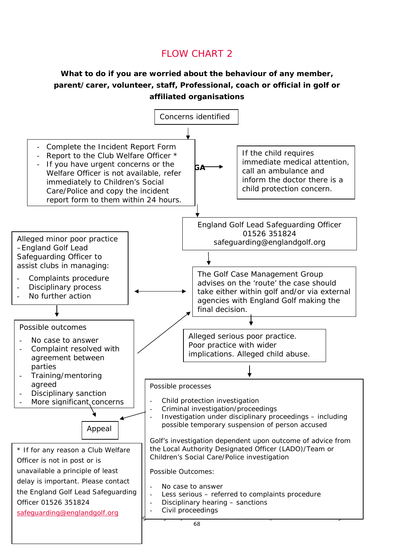# FLOW CHART 2

### **What to do if you are worried about the behaviour of any member, parent/carer, volunteer, staff, Professional, coach or official in golf or affiliated organisations**

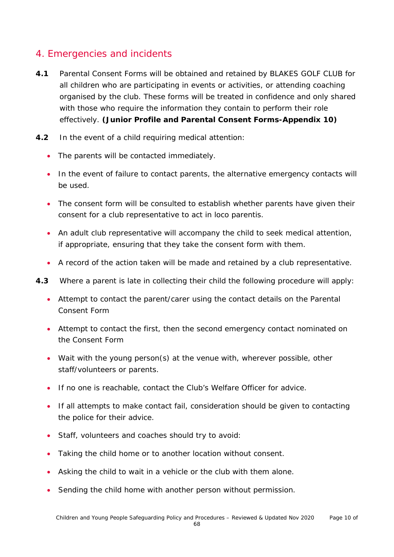### 4. Emergencies and incidents

- **4.1** Parental Consent Forms will be obtained and retained by BLAKES GOLF CLUB for all children who are participating in events or activities, or attending coaching organised by the club. These forms will be treated in confidence and only shared with those who require the information they contain to perform their role effectively. **(Junior Profile and Parental Consent Forms-Appendix 10)**
- **4.2** In the event of a child requiring medical attention:
	- The parents will be contacted immediately.
	- In the event of failure to contact parents, the alternative emergency contacts will be used.
	- The consent form will be consulted to establish whether parents have given their consent for a club representative to act in loco parentis.
	- An adult club representative will accompany the child to seek medical attention, if appropriate, ensuring that they take the consent form with them.
	- A record of the action taken will be made and retained by a club representative.
- **4.3** Where a parent is late in collecting their child the following procedure will apply:
	- Attempt to contact the parent/carer using the contact details on the Parental Consent Form
	- Attempt to contact the first, then the second emergency contact nominated on the Consent Form
	- Wait with the young person(s) at the venue with, wherever possible, other staff/volunteers or parents.
	- If no one is reachable, contact the Club's Welfare Officer for advice.
	- If all attempts to make contact fail, consideration should be given to contacting the police for their advice.
	- Staff, volunteers and coaches should try to avoid:
	- Taking the child home or to another location without consent.
	- Asking the child to wait in a vehicle or the club with them alone.
	- Sending the child home with another person without permission.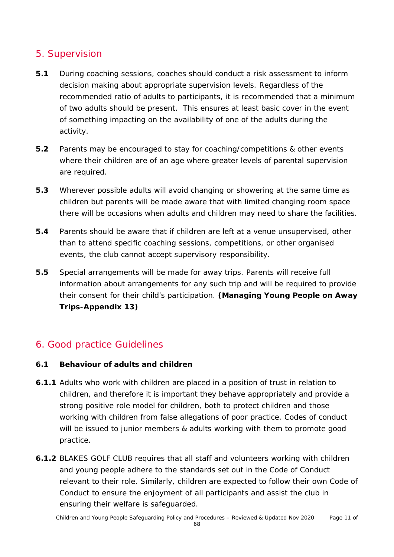### 5. Supervision

- **5.1** During coaching sessions, coaches should conduct a risk assessment to inform decision making about appropriate supervision levels. Regardless of the recommended ratio of adults to participants, it is recommended that a minimum of two adults should be present. This ensures at least basic cover in the event of something impacting on the availability of one of the adults during the activity.
- **5.2** Parents may be encouraged to stay for coaching/competitions & other events where their children are of an age where greater levels of parental supervision are required.
- **5.3** Wherever possible adults will avoid changing or showering at the same time as children but parents will be made aware that with limited changing room space there will be occasions when adults and children may need to share the facilities.
- **5.4** Parents should be aware that if children are left at a venue unsupervised, other than to attend specific coaching sessions, competitions, or other organised events, the club cannot accept supervisory responsibility.
- **5.5** Special arrangements will be made for away trips. Parents will receive full information about arrangements for any such trip and will be required to provide their consent for their child's participation. **(Managing Young People on Away Trips-Appendix 13)**

### 6. Good practice Guidelines

### **6.1 Behaviour of adults and children**

- **6.1.1** Adults who work with children are placed in a position of trust in relation to children, and therefore it is important they behave appropriately and provide a strong positive role model for children, both to protect children and those working with children from false allegations of poor practice. Codes of conduct will be issued to junior members & adults working with them to promote good practice.
- **6.1.2** BLAKES GOLF CLUB requires that all staff and volunteers working with children and young people adhere to the standards set out in the Code of Conduct relevant to their role. Similarly, children are expected to follow their own Code of Conduct to ensure the enjoyment of all participants and assist the club in ensuring their welfare is safeguarded.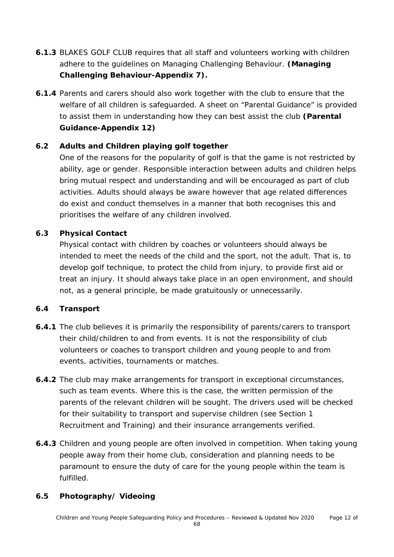- **6.1.3** BLAKES GOLF CLUB requires that all staff and volunteers working with children adhere to the guidelines on Managing Challenging Behaviour. **(Managing Challenging Behaviour-Appendix 7).**
- **6.1.4** Parents and carers should also work together with the club to ensure that the welfare of all children is safeguarded. A sheet on "Parental Guidance" is provided to assist them in understanding how they can best assist the club **(Parental Guidance-Appendix 12)**

### **6.2 Adults and Children playing golf together**

One of the reasons for the popularity of golf is that the game is not restricted by ability, age or gender. Responsible interaction between adults and children helps bring mutual respect and understanding and will be encouraged as part of club activities. Adults should always be aware however that age related differences do exist and conduct themselves in a manner that both recognises this and prioritises the welfare of any children involved.

### **6.3 Physical Contact**

Physical contact with children by coaches or volunteers should always be intended to meet the needs of the child and the sport, not the adult. That is, to develop golf technique, to protect the child from injury, to provide first aid or treat an injury. It should always take place in an open environment, and should not, as a general principle, be made gratuitously or unnecessarily.

### **6.4 Transport**

- **6.4.1** The club believes it is primarily the responsibility of parents/carers to transport their child/children to and from events. It is not the responsibility of club volunteers or coaches to transport children and young people to and from events, activities, tournaments or matches.
- **6.4.2** The club may make arrangements for transport in exceptional circumstances, such as team events. Where this is the case, the written permission of the parents of the relevant children will be sought. The drivers used will be checked for their suitability to transport and supervise children (see Section 1 Recruitment and Training) and their insurance arrangements verified.
- **6.4.3** Children and young people are often involved in competition. When taking young people away from their home club, consideration and planning needs to be paramount to ensure the duty of care for the young people within the team is fulfilled.

### **6.5 Photography/ Videoing**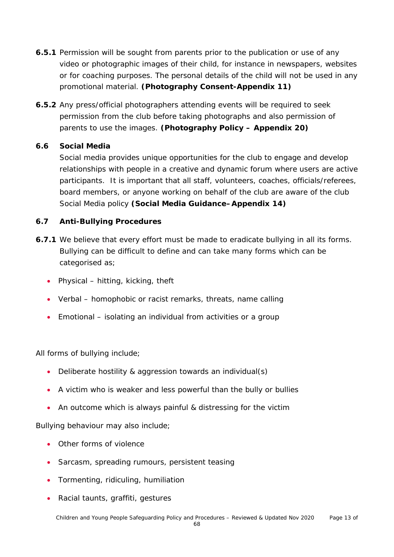- **6.5.1** Permission will be sought from parents prior to the publication or use of any video or photographic images of their child, for instance in newspapers, websites or for coaching purposes. The personal details of the child will not be used in any promotional material. **(Photography Consent-Appendix 11)**
- **6.5.2** Any press/official photographers attending events will be required to seek permission from the club before taking photographs and also permission of parents to use the images. **(Photography Policy – Appendix 20)**

### **6.6 Social Media**

Social media provides unique opportunities for the club to engage and develop relationships with people in a creative and dynamic forum where users are active participants. It is important that all staff, volunteers, coaches, officials/referees, board members, or anyone working on behalf of the club are aware of the club Social Media policy **(Social Media Guidance–Appendix 14)**

### **6.7 Anti-Bullying Procedures**

- **6.7.1** We believe that every effort must be made to eradicate bullying in all its forms. Bullying can be difficult to define and can take many forms which can be categorised as;
	- Physical hitting, kicking, theft
	- Verbal homophobic or racist remarks, threats, name calling
	- Emotional isolating an individual from activities or a group

All forms of bullying include;

- Deliberate hostility & aggression towards an individual(s)
- A victim who is weaker and less powerful than the bully or bullies
- An outcome which is always painful & distressing for the victim

Bullying behaviour may also include;

- Other forms of violence
- Sarcasm, spreading rumours, persistent teasing
- Tormenting, ridiculing, humiliation
- Racial taunts, graffiti, gestures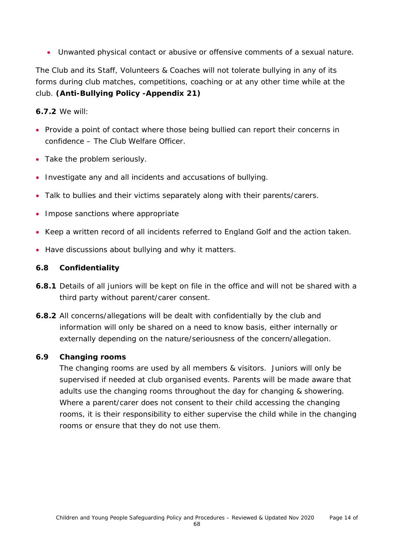• Unwanted physical contact or abusive or offensive comments of a sexual nature.

The Club and its Staff, Volunteers & Coaches will not tolerate bullying in any of its forms during club matches, competitions, coaching or at any other time while at the club. **(Anti-Bullying Policy -Appendix 21)**

**6.7.2** We will:

- Provide a point of contact where those being bullied can report their concerns in confidence – The Club Welfare Officer.
- Take the problem seriously.
- Investigate any and all incidents and accusations of bullying.
- Talk to bullies and their victims separately along with their parents/carers.
- Impose sanctions where appropriate
- Keep a written record of all incidents referred to England Golf and the action taken.
- Have discussions about bullying and why it matters.

#### **6.8 Confidentiality**

- **6.8.1** Details of all juniors will be kept on file in the office and will not be shared with a third party without parent/carer consent.
- **6.8.2** All concerns/allegations will be dealt with confidentially by the club and information will only be shared on a need to know basis, either internally or externally depending on the nature/seriousness of the concern/allegation.

#### **6.9 Changing rooms**

The changing rooms are used by all members & visitors. Juniors will only be supervised if needed at club organised events. Parents will be made aware that adults use the changing rooms throughout the day for changing & showering. Where a parent/carer does not consent to their child accessing the changing rooms, it is their responsibility to either supervise the child while in the changing rooms or ensure that they do not use them.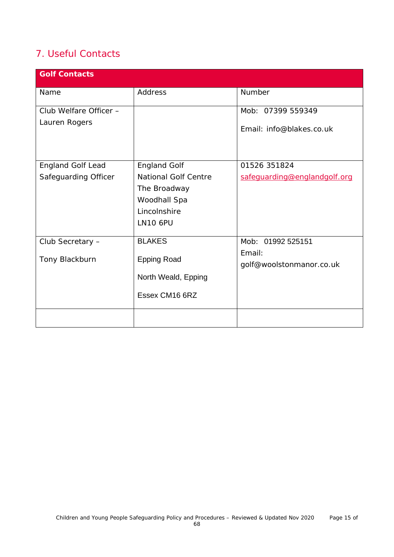### 7. Useful Contacts

| <b>Golf Contacts</b>                             |                                                                                                                       |                                                         |
|--------------------------------------------------|-----------------------------------------------------------------------------------------------------------------------|---------------------------------------------------------|
| Name                                             | Address                                                                                                               | Number                                                  |
| Club Welfare Officer -<br>Lauren Rogers          |                                                                                                                       | Mob: 07399 559349<br>Email: info@blakes.co.uk           |
| <b>England Golf Lead</b><br>Safeguarding Officer | <b>England Golf</b><br><b>National Golf Centre</b><br>The Broadway<br>Woodhall Spa<br>Lincolnshire<br><b>LN10 6PU</b> | 01526 351824<br>safeguarding@englandgolf.org            |
| Club Secretary -<br>Tony Blackburn               | <b>BLAKES</b><br><b>Epping Road</b><br>North Weald, Epping<br>Essex CM16 6RZ                                          | Mob: 01992 525151<br>Email:<br>golf@woolstonmanor.co.uk |
|                                                  |                                                                                                                       |                                                         |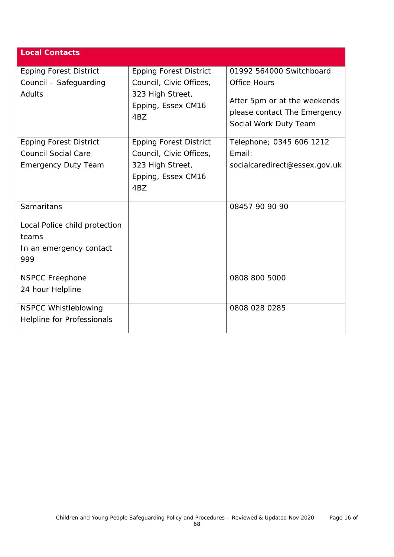| <b>Local Contacts</b>         |                                               |                                                                                       |
|-------------------------------|-----------------------------------------------|---------------------------------------------------------------------------------------|
| <b>Epping Forest District</b> | <b>Epping Forest District</b>                 | 01992 564000 Switchboard                                                              |
| Council - Safeguarding        | Council, Civic Offices,                       | <b>Office Hours</b>                                                                   |
| Adults                        | 323 High Street,<br>Epping, Essex CM16<br>4BZ | After 5pm or at the weekends<br>please contact The Emergency<br>Social Work Duty Team |
| <b>Epping Forest District</b> | <b>Epping Forest District</b>                 | Telephone; 0345 606 1212                                                              |
| <b>Council Social Care</b>    | Council, Civic Offices,                       | Email:                                                                                |
| <b>Emergency Duty Team</b>    | 323 High Street,                              | socialcaredirect@essex.gov.uk                                                         |
|                               | Epping, Essex CM16                            |                                                                                       |
|                               | 4BZ                                           |                                                                                       |
| Samaritans                    |                                               | 08457 90 90 90                                                                        |
| Local Police child protection |                                               |                                                                                       |
| teams                         |                                               |                                                                                       |
| In an emergency contact       |                                               |                                                                                       |
| 999                           |                                               |                                                                                       |
| <b>NSPCC Freephone</b>        |                                               | 0808 800 5000                                                                         |
| 24 hour Helpline              |                                               |                                                                                       |
| <b>NSPCC Whistleblowing</b>   |                                               | 0808 028 0285                                                                         |
| Helpline for Professionals    |                                               |                                                                                       |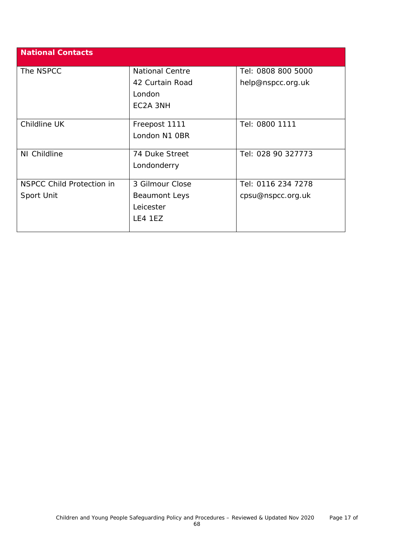| <b>National Contacts</b>         |                        |                    |
|----------------------------------|------------------------|--------------------|
| The NSPCC                        | <b>National Centre</b> | Tel: 0808 800 5000 |
|                                  | 42 Curtain Road        | help@nspcc.org.uk  |
|                                  | London                 |                    |
|                                  | EC2A 3NH               |                    |
|                                  |                        |                    |
| Childline UK                     | Freepost 1111          | Tel: 0800 1111     |
|                                  | London N1 OBR          |                    |
|                                  |                        |                    |
| NI Childline                     | 74 Duke Street         | Tel: 028 90 327773 |
|                                  | Londonderry            |                    |
|                                  |                        |                    |
| <b>NSPCC Child Protection in</b> | 3 Gilmour Close        | Tel: 0116 234 7278 |
| Sport Unit                       | Beaumont Leys          | cpsu@nspcc.org.uk  |
|                                  | Leicester              |                    |
|                                  | LE4 1EZ                |                    |
|                                  |                        |                    |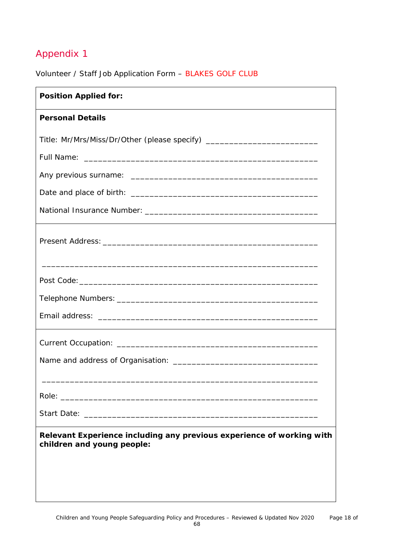Volunteer / Staff Job Application Form – BLAKES GOLF CLUB

| <b>Position Applied for:</b>                                                                                                                                                                                                   |  |
|--------------------------------------------------------------------------------------------------------------------------------------------------------------------------------------------------------------------------------|--|
| <b>Personal Details</b>                                                                                                                                                                                                        |  |
| Title: Mr/Mrs/Miss/Dr/Other (please specify) ___________________________________                                                                                                                                               |  |
|                                                                                                                                                                                                                                |  |
|                                                                                                                                                                                                                                |  |
|                                                                                                                                                                                                                                |  |
|                                                                                                                                                                                                                                |  |
|                                                                                                                                                                                                                                |  |
|                                                                                                                                                                                                                                |  |
|                                                                                                                                                                                                                                |  |
|                                                                                                                                                                                                                                |  |
|                                                                                                                                                                                                                                |  |
|                                                                                                                                                                                                                                |  |
| Role: The contract of the contract of the contract of the contract of the contract of the contract of the contract of the contract of the contract of the contract of the contract of the contract of the contract of the cont |  |
|                                                                                                                                                                                                                                |  |
| Relevant Experience including any previous experience of working with<br>children and young people:                                                                                                                            |  |
|                                                                                                                                                                                                                                |  |
|                                                                                                                                                                                                                                |  |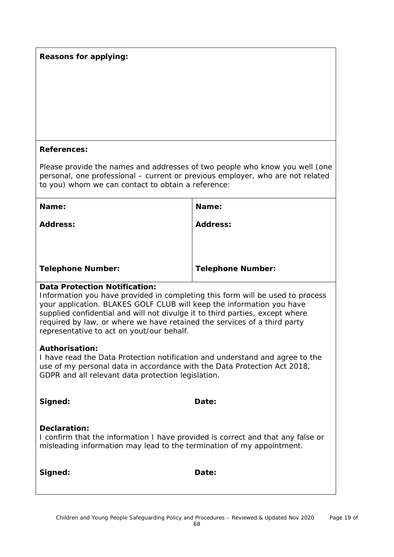### **Reasons for applying:**

#### **References:**

Please provide the names and addresses of two people who know you well (one personal, one professional – current or previous employer, who are not related to you) whom we can contact to obtain a reference:

| Name:                    | Name:                    |
|--------------------------|--------------------------|
| <b>Address:</b>          | <b>Address:</b>          |
|                          |                          |
|                          |                          |
| <b>Telephone Number:</b> | <b>Telephone Number:</b> |

### **Data Protection Notification:**

Information you have provided in completing this form will be used to process your application. BLAKES GOLF CLUB will keep the information you have supplied confidential and will not divulge it to third parties, except where required by law, or where we have retained the services of a third party representative to act on yout/our behalf.

#### **Authorisation:**

I have read the Data Protection notification and understand and agree to the use of my personal data in accordance with the Data Protection Act 2018, GDPR and all relevant data protection legislation.

| Date: |
|-------|
|       |

### **Declaration:**

I confirm that the information I have provided is correct and that any false or misleading information may lead to the termination of my appointment.

**Signed: Date:**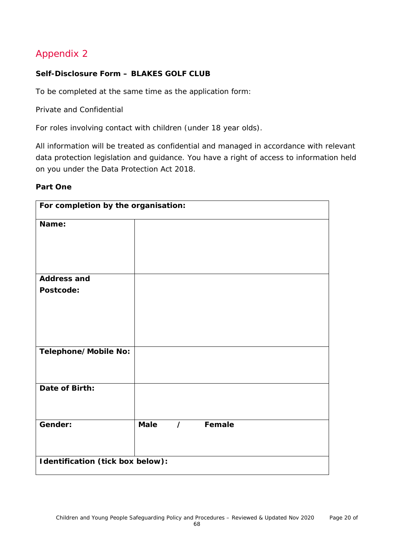### **Self-Disclosure Form – BLAKES GOLF CLUB**

To be completed at the same time as the application form:

Private and Confidential

For roles involving contact with children (under 18 year olds).

All information will be treated as confidential and managed in accordance with relevant data protection legislation and guidance. You have a right of access to information held on you under the Data Protection Act 2018.

#### **Part One**

| For completion by the organisation: |                                  |          |        |  |  |
|-------------------------------------|----------------------------------|----------|--------|--|--|
| Name:                               |                                  |          |        |  |  |
|                                     |                                  |          |        |  |  |
|                                     |                                  |          |        |  |  |
| <b>Address and</b>                  |                                  |          |        |  |  |
| Postcode:                           |                                  |          |        |  |  |
|                                     |                                  |          |        |  |  |
|                                     |                                  |          |        |  |  |
|                                     |                                  |          |        |  |  |
| Telephone/Mobile No:                |                                  |          |        |  |  |
|                                     |                                  |          |        |  |  |
| Date of Birth:                      |                                  |          |        |  |  |
|                                     |                                  |          |        |  |  |
| Gender:                             | <b>Male</b>                      | $\prime$ | Female |  |  |
|                                     |                                  |          |        |  |  |
|                                     | Identification (tick box below): |          |        |  |  |
|                                     |                                  |          |        |  |  |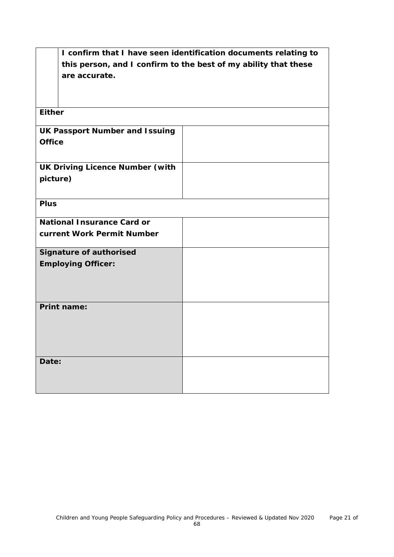| I confirm that I have seen identification documents relating to |                                                                 |  |  |
|-----------------------------------------------------------------|-----------------------------------------------------------------|--|--|
|                                                                 | this person, and I confirm to the best of my ability that these |  |  |
| are accurate.                                                   |                                                                 |  |  |
|                                                                 |                                                                 |  |  |
|                                                                 |                                                                 |  |  |
| <b>Either</b>                                                   |                                                                 |  |  |
|                                                                 |                                                                 |  |  |
| <b>UK Passport Number and Issuing</b>                           |                                                                 |  |  |
| <b>Office</b>                                                   |                                                                 |  |  |
|                                                                 |                                                                 |  |  |
| <b>UK Driving Licence Number (with</b>                          |                                                                 |  |  |
| picture)                                                        |                                                                 |  |  |
|                                                                 |                                                                 |  |  |
|                                                                 |                                                                 |  |  |
| <b>Plus</b>                                                     |                                                                 |  |  |
| <b>National Insurance Card or</b>                               |                                                                 |  |  |
| current Work Permit Number                                      |                                                                 |  |  |
|                                                                 |                                                                 |  |  |
| <b>Signature of authorised</b>                                  |                                                                 |  |  |
| <b>Employing Officer:</b>                                       |                                                                 |  |  |
|                                                                 |                                                                 |  |  |
|                                                                 |                                                                 |  |  |
|                                                                 |                                                                 |  |  |
| <b>Print name:</b>                                              |                                                                 |  |  |
|                                                                 |                                                                 |  |  |
|                                                                 |                                                                 |  |  |
|                                                                 |                                                                 |  |  |
|                                                                 |                                                                 |  |  |
| Date:                                                           |                                                                 |  |  |
|                                                                 |                                                                 |  |  |
|                                                                 |                                                                 |  |  |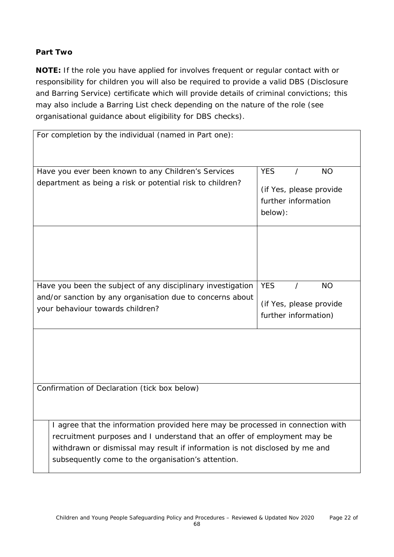### **Part Two**

**NOTE:** If the role you have applied for involves frequent or regular contact with or responsibility for children you will also be required to provide a valid DBS (Disclosure and Barring Service) certificate which will provide details of criminal convictions; this may also include a Barring List check depending on the nature of the role (see organisational guidance about eligibility for DBS checks).

| For completion by the individual (named in Part one):                                                            |                                                                                      |
|------------------------------------------------------------------------------------------------------------------|--------------------------------------------------------------------------------------|
| Have you ever been known to any Children's Services<br>department as being a risk or potential risk to children? | <b>YES</b><br><b>NO</b><br>(if Yes, please provide<br>further information<br>below): |
|                                                                                                                  |                                                                                      |
| Have you been the subject of any disciplinary investigation                                                      | <b>YES</b><br><b>NO</b><br>$\prime$                                                  |
| and/or sanction by any organisation due to concerns about                                                        | (if Yes, please provide                                                              |
| your behaviour towards children?                                                                                 | further information)                                                                 |
| Confirmation of Declaration (tick box below)                                                                     |                                                                                      |
| I agree that the information provided here may be processed in connection with                                   |                                                                                      |
| recruitment purposes and I understand that an offer of employment may be                                         |                                                                                      |
| withdrawn or dismissal may result if information is not disclosed by me and                                      |                                                                                      |
| subsequently come to the organisation's attention.                                                               |                                                                                      |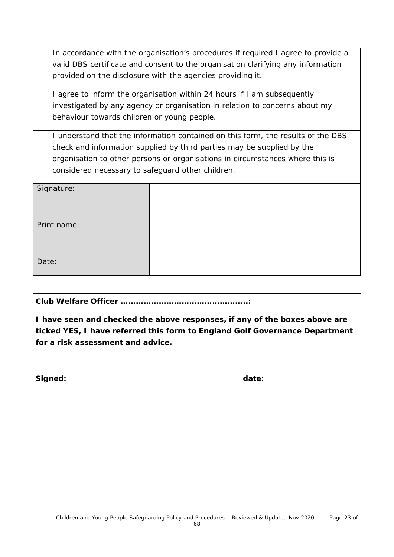|       | In accordance with the organisation's procedures if required I agree to provide a |  |  |  |  |
|-------|-----------------------------------------------------------------------------------|--|--|--|--|
|       | valid DBS certificate and consent to the organisation clarifying any information  |  |  |  |  |
|       | provided on the disclosure with the agencies providing it.                        |  |  |  |  |
|       | I agree to inform the organisation within 24 hours if I am subsequently           |  |  |  |  |
|       | investigated by any agency or organisation in relation to concerns about my       |  |  |  |  |
|       | behaviour towards children or young people.                                       |  |  |  |  |
|       | I understand that the information contained on this form, the results of the DBS  |  |  |  |  |
|       | check and information supplied by third parties may be supplied by the            |  |  |  |  |
|       | organisation to other persons or organisations in circumstances where this is     |  |  |  |  |
|       | considered necessary to safeguard other children.                                 |  |  |  |  |
|       | Signature:                                                                        |  |  |  |  |
|       |                                                                                   |  |  |  |  |
|       | Print name:                                                                       |  |  |  |  |
|       |                                                                                   |  |  |  |  |
|       |                                                                                   |  |  |  |  |
| Date: |                                                                                   |  |  |  |  |

**Club Welfare Officer …………………………………………..:**

**I have seen and checked the above responses, if any of the boxes above are ticked YES, I have referred this form to England Golf Governance Department for a risk assessment and advice.**

Signed: **and Signed: date: date: date:**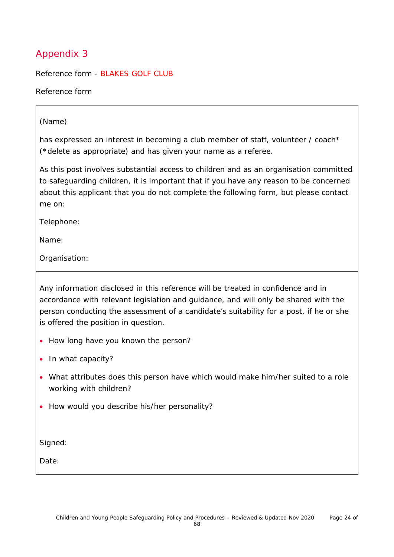Reference form - BLAKES GOLF CLUB

Reference form

### (Name)

has expressed an interest in becoming a club member of staff, volunteer / coach\* (\*delete as appropriate) and has given your name as a referee.

As this post involves substantial access to children and as an organisation committed to safeguarding children, it is important that if you have any reason to be concerned about this applicant that you do not complete the following form, but please contact me on:

Telephone:

Name:

Organisation:

Any information disclosed in this reference will be treated in confidence and in accordance with relevant legislation and guidance, and will only be shared with the person conducting the assessment of a candidate's suitability for a post, if he or she is offered the position in question.

- How long have you known the person?
- In what capacity?
- What attributes does this person have which would make him/her suited to a role working with children?
- How would you describe his/her personality?

Signed:

Date: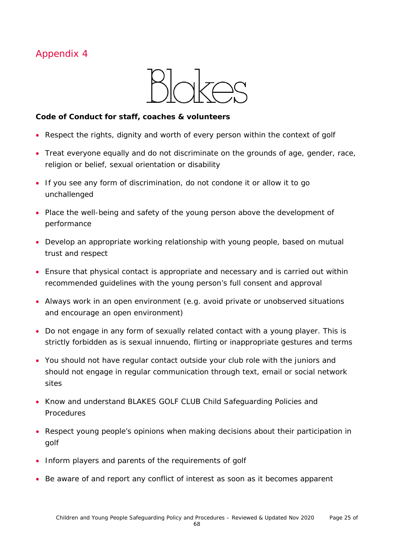

### **Code of Conduct for staff, coaches & volunteers**

- Respect the rights, dignity and worth of every person within the context of golf
- Treat everyone equally and do not discriminate on the grounds of age, gender, race, religion or belief, sexual orientation or disability
- If you see any form of discrimination, do not condone it or allow it to go unchallenged
- Place the well-being and safety of the young person above the development of performance
- Develop an appropriate working relationship with young people, based on mutual trust and respect
- Ensure that physical contact is appropriate and necessary and is carried out within recommended guidelines with the young person's full consent and approval
- Always work in an open environment (e.g. avoid private or unobserved situations and encourage an open environment)
- Do not engage in any form of sexually related contact with a young player. This is strictly forbidden as is sexual innuendo, flirting or inappropriate gestures and terms
- You should not have regular contact outside your club role with the juniors and should not engage in regular communication through text, email or social network sites
- Know and understand BLAKES GOLF CLUB Child Safeguarding Policies and Procedures
- Respect young people's opinions when making decisions about their participation in golf
- Inform players and parents of the requirements of golf
- Be aware of and report any conflict of interest as soon as it becomes apparent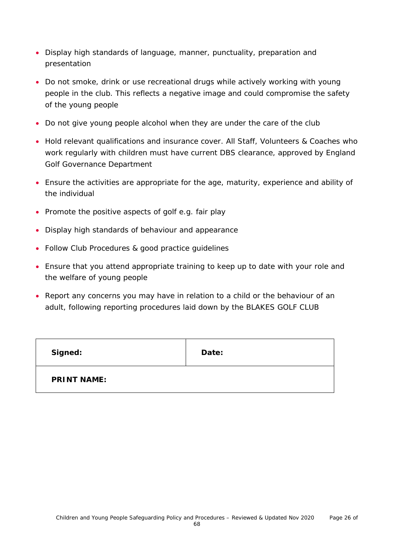- Display high standards of language, manner, punctuality, preparation and presentation
- Do not smoke, drink or use recreational drugs while actively working with young people in the club. This reflects a negative image and could compromise the safety of the young people
- Do not give young people alcohol when they are under the care of the club
- Hold relevant qualifications and insurance cover. All Staff, Volunteers & Coaches who work regularly with children must have current DBS clearance, approved by England Golf Governance Department
- Ensure the activities are appropriate for the age, maturity, experience and ability of the individual
- Promote the positive aspects of golf e.g. fair play
- Display high standards of behaviour and appearance
- Follow Club Procedures & good practice guidelines
- Ensure that you attend appropriate training to keep up to date with your role and the welfare of young people
- Report any concerns you may have in relation to a child or the behaviour of an adult, following reporting procedures laid down by the BLAKES GOLF CLUB

| Signed:            | Date: |
|--------------------|-------|
| <b>PRINT NAME:</b> |       |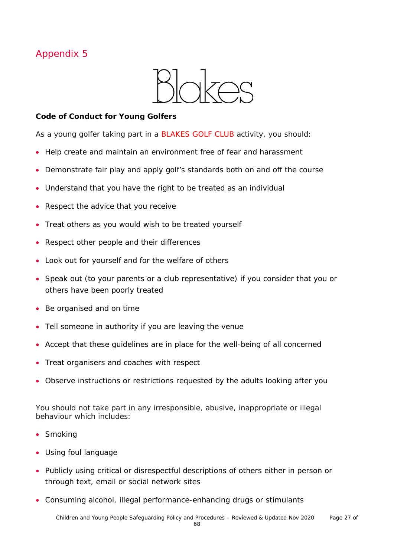

### **Code of Conduct for Young Golfers**

As a young golfer taking part in a BLAKES GOLF CLUB activity, you should:

- Help create and maintain an environment free of fear and harassment
- Demonstrate fair play and apply golf's standards both on and off the course
- Understand that you have the right to be treated as an individual
- Respect the advice that you receive
- Treat others as you would wish to be treated yourself
- Respect other people and their differences
- Look out for yourself and for the welfare of others
- Speak out (to your parents or a club representative) if you consider that you or others have been poorly treated
- Be organised and on time
- Tell someone in authority if you are leaving the venue
- Accept that these guidelines are in place for the well-being of all concerned
- Treat organisers and coaches with respect
- Observe instructions or restrictions requested by the adults looking after you

You should not take part in any irresponsible, abusive, inappropriate or illegal behaviour which includes:

- Smoking
- Using foul language
- Publicly using critical or disrespectful descriptions of others either in person or through text, email or social network sites
- Consuming alcohol, illegal performance-enhancing drugs or stimulants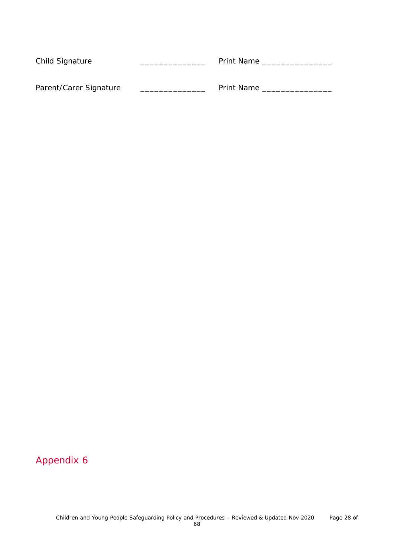| Child Signature        | <b>Print Name</b> |
|------------------------|-------------------|
| Parent/Carer Signature | <b>Print Name</b> |
|                        |                   |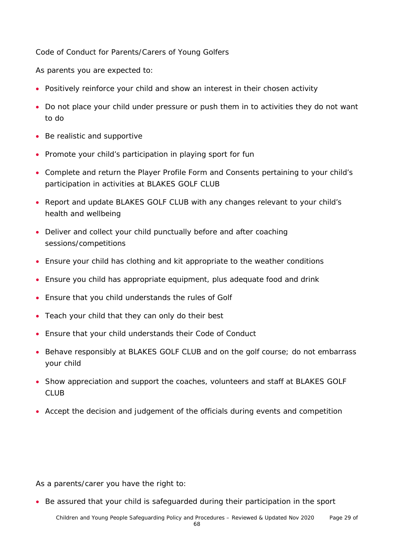Code of Conduct for Parents/Carers of Young Golfers

As parents you are expected to:

- Positively reinforce your child and show an interest in their chosen activity
- Do not place your child under pressure or push them in to activities they do not want to do
- Be realistic and supportive
- Promote your child's participation in playing sport for fun
- Complete and return the Player Profile Form and Consents pertaining to your child's participation in activities at BLAKES GOLF CLUB
- Report and update BLAKES GOLF CLUB with any changes relevant to your child's health and wellbeing
- Deliver and collect your child punctually before and after coaching sessions/competitions
- Ensure your child has clothing and kit appropriate to the weather conditions
- Ensure you child has appropriate equipment, plus adequate food and drink
- Ensure that you child understands the rules of Golf
- Teach your child that they can only do their best
- Ensure that your child understands their Code of Conduct
- Behave responsibly at BLAKES GOLF CLUB and on the golf course; do not embarrass your child
- Show appreciation and support the coaches, volunteers and staff at BLAKES GOLF CLUB
- Accept the decision and judgement of the officials during events and competition

As a parents/carer you have the right to:

• Be assured that your child is safeguarded during their participation in the sport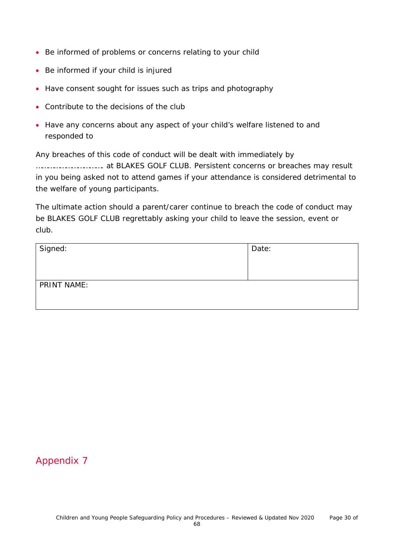- Be informed of problems or concerns relating to your child
- Be informed if your child is injured
- Have consent sought for issues such as trips and photography
- Contribute to the decisions of the club
- Have any concerns about any aspect of your child's welfare listened to and responded to

Any breaches of this code of conduct will be dealt with immediately by ……………………………. at BLAKES GOLF CLUB. Persistent concerns or breaches may result in you being asked not to attend games if your attendance is considered detrimental to the welfare of young participants.

The ultimate action should a parent/carer continue to breach the code of conduct may be BLAKES GOLF CLUB regrettably asking your child to leave the session, event or club.

| Signed:     | Date: |
|-------------|-------|
| PRINT NAME: |       |

### Appendix 7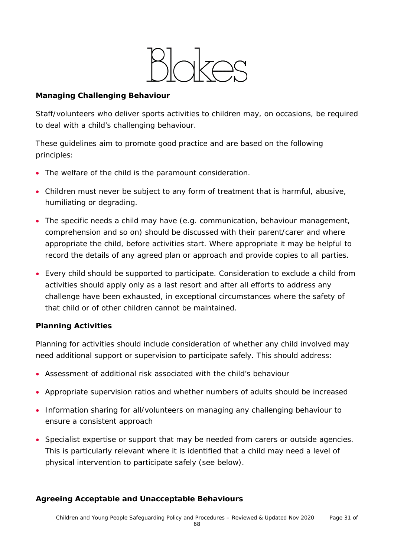

### **Managing Challenging Behaviour**

Staff/volunteers who deliver sports activities to children may, on occasions, be required to deal with a child's challenging behaviour.

These guidelines aim to promote good practice and are based on the following principles:

- The welfare of the child is the paramount consideration.
- Children must never be subject to any form of treatment that is harmful, abusive, humiliating or degrading.
- The specific needs a child may have (e.g. communication, behaviour management, comprehension and so on) should be discussed with their parent/carer and where appropriate the child, before activities start. Where appropriate it may be helpful to record the details of any agreed plan or approach and provide copies to all parties.
- Every child should be supported to participate. Consideration to exclude a child from activities should apply only as a last resort and after all efforts to address any challenge have been exhausted, in exceptional circumstances where the safety of that child or of other children cannot be maintained.

### **Planning Activities**

Planning for activities should include consideration of whether any child involved may need additional support or supervision to participate safely. This should address:

- Assessment of additional risk associated with the child's behaviour
- Appropriate supervision ratios and whether numbers of adults should be increased
- Information sharing for all/volunteers on managing any challenging behaviour to ensure a consistent approach
- Specialist expertise or support that may be needed from carers or outside agencies. This is particularly relevant where it is identified that a child may need a level of physical intervention to participate safely (see below).

### **Agreeing Acceptable and Unacceptable Behaviours**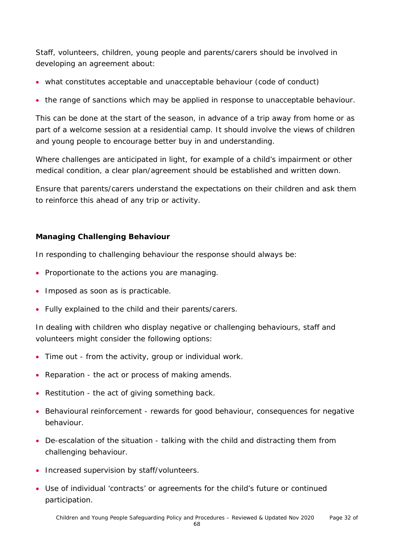Staff, volunteers, children, young people and parents/carers should be involved in developing an agreement about:

- what constitutes acceptable and unacceptable behaviour (code of conduct)
- the range of sanctions which may be applied in response to unacceptable behaviour.

This can be done at the start of the season, in advance of a trip away from home or as part of a welcome session at a residential camp. It should involve the views of children and young people to encourage better buy in and understanding.

Where challenges are anticipated in light, for example of a child's impairment or other medical condition, a clear plan/agreement should be established and written down.

Ensure that parents/carers understand the expectations on their children and ask them to reinforce this ahead of any trip or activity.

### **Managing Challenging Behaviour**

In responding to challenging behaviour the response should always be:

- Proportionate to the actions you are managing.
- Imposed as soon as is practicable.
- Fully explained to the child and their parents/carers.

In dealing with children who display negative or challenging behaviours, staff and volunteers might consider the following options:

- Time out from the activity, group or individual work.
- Reparation the act or process of making amends.
- Restitution the act of giving something back.
- Behavioural reinforcement rewards for good behaviour, consequences for negative behaviour.
- De-escalation of the situation talking with the child and distracting them from challenging behaviour.
- Increased supervision by staff/volunteers.
- Use of individual 'contracts' or agreements for the child's future or continued participation.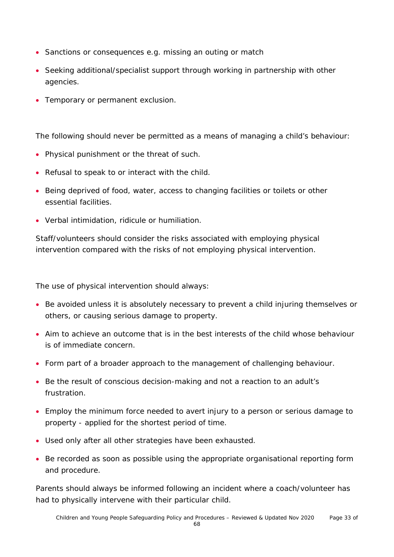- Sanctions or consequences e.g. missing an outing or match
- Seeking additional/specialist support through working in partnership with other agencies.
- Temporary or permanent exclusion.

The following should never be permitted as a means of managing a child's behaviour:

- Physical punishment or the threat of such.
- Refusal to speak to or interact with the child.
- Being deprived of food, water, access to changing facilities or toilets or other essential facilities.
- Verbal intimidation, ridicule or humiliation.

Staff/volunteers should consider the risks associated with employing physical intervention compared with the risks of not employing physical intervention.

The use of physical intervention should always:

- Be avoided unless it is absolutely necessary to prevent a child injuring themselves or others, or causing serious damage to property.
- Aim to achieve an outcome that is in the best interests of the child whose behaviour is of immediate concern.
- Form part of a broader approach to the management of challenging behaviour.
- Be the result of conscious decision-making and not a reaction to an adult's frustration.
- Employ the minimum force needed to avert injury to a person or serious damage to property - applied for the shortest period of time.
- Used only after all other strategies have been exhausted.
- Be recorded as soon as possible using the appropriate organisational reporting form and procedure.

Parents should always be informed following an incident where a coach/volunteer has had to physically intervene with their particular child.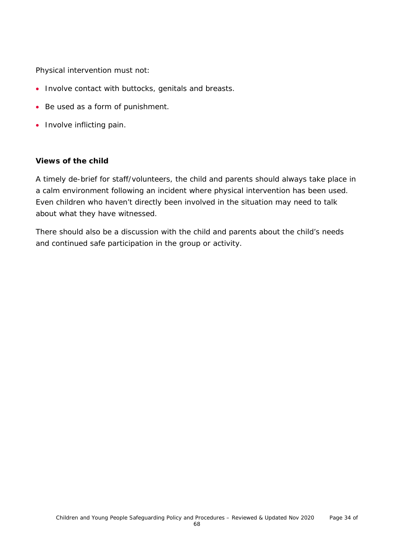Physical intervention must not:

- Involve contact with buttocks, genitals and breasts.
- Be used as a form of punishment.
- Involve inflicting pain.

### **Views of the child**

A timely de-brief for staff/volunteers, the child and parents should always take place in a calm environment following an incident where physical intervention has been used. Even children who haven't directly been involved in the situation may need to talk about what they have witnessed.

There should also be a discussion with the child and parents about the child's needs and continued safe participation in the group or activity.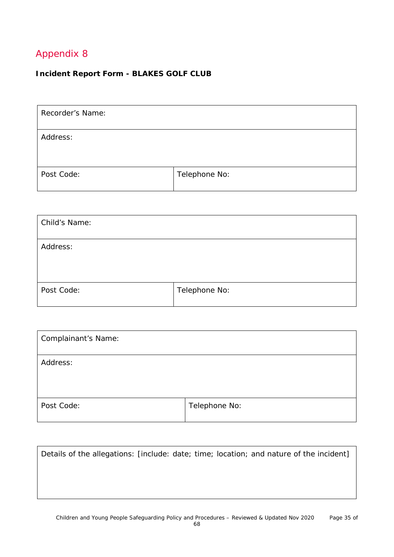### **Incident Report Form - BLAKES GOLF CLUB**

| Recorder's Name: |               |
|------------------|---------------|
| Address:         |               |
| Post Code:       | Telephone No: |

| Child's Name: |               |
|---------------|---------------|
| Address:      |               |
| Post Code:    | Telephone No: |

| <b>Complainant's Name:</b> |               |
|----------------------------|---------------|
| Address:                   |               |
| Post Code:                 | Telephone No: |

|  |  | Details of the allegations: [include: date; time; location; and nature of the incident] |
|--|--|-----------------------------------------------------------------------------------------|
|  |  |                                                                                         |
|  |  |                                                                                         |
|  |  |                                                                                         |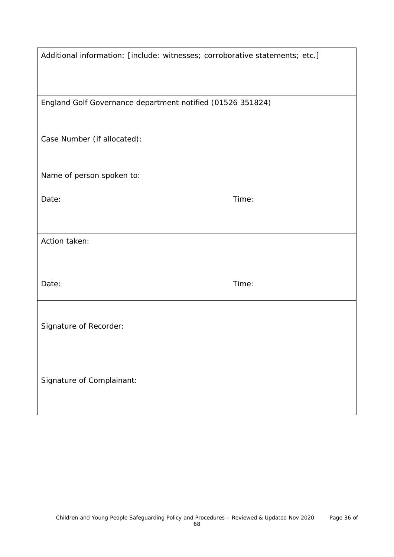| Additional information: [include: witnesses; corroborative statements; etc.] |       |
|------------------------------------------------------------------------------|-------|
|                                                                              |       |
| England Golf Governance department notified (01526 351824)                   |       |
| Case Number (if allocated):                                                  |       |
| Name of person spoken to:                                                    |       |
| Date:                                                                        | Time: |
|                                                                              |       |
| Action taken:                                                                |       |
|                                                                              |       |
| Date:                                                                        | Time: |
|                                                                              |       |
| Signature of Recorder:                                                       |       |
|                                                                              |       |
| Signature of Complainant:                                                    |       |
|                                                                              |       |
|                                                                              |       |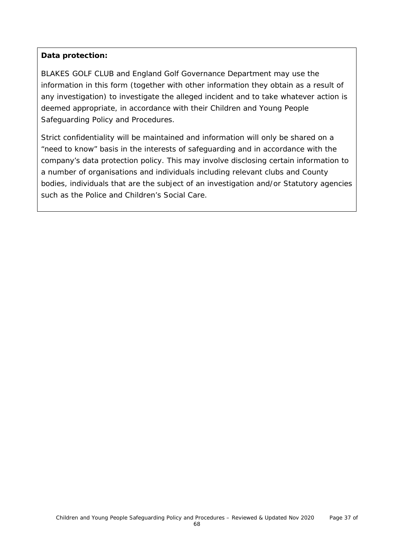### **Data protection:**

BLAKES GOLF CLUB and England Golf Governance Department may use the information in this form (together with other information they obtain as a result of any investigation) to investigate the alleged incident and to take whatever action is deemed appropriate, in accordance with their Children and Young People Safeguarding Policy and Procedures.

Strict confidentiality will be maintained and information will only be shared on a "need to know" basis in the interests of safeguarding and in accordance with the company's data protection policy. This may involve disclosing certain information to a number of organisations and individuals including relevant clubs and County bodies, individuals that are the subject of an investigation and/or Statutory agencies such as the Police and Children's Social Care.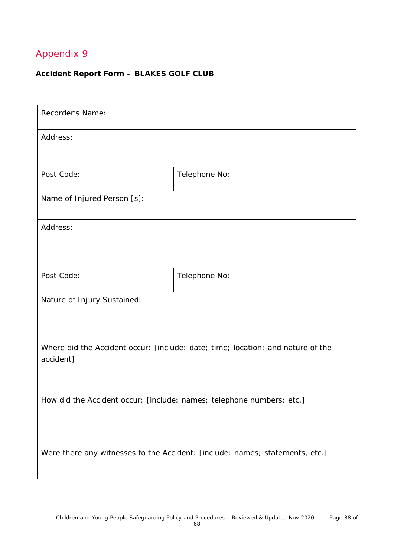### **Accident Report Form – BLAKES GOLF CLUB**

| Recorder's Name:                                                                             |               |  |
|----------------------------------------------------------------------------------------------|---------------|--|
| Address:                                                                                     |               |  |
| Post Code:                                                                                   | Telephone No: |  |
| Name of Injured Person [s]:                                                                  |               |  |
| Address:                                                                                     |               |  |
| Post Code:                                                                                   | Telephone No: |  |
| Nature of Injury Sustained:                                                                  |               |  |
| Where did the Accident occur: [include: date; time; location; and nature of the<br>accident] |               |  |
| How did the Accident occur: [include: names; telephone numbers; etc.]                        |               |  |
| Were there any witnesses to the Accident: [include: names; statements, etc.]                 |               |  |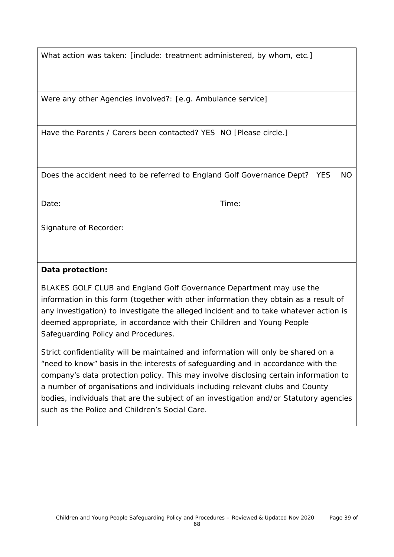What action was taken: [include: treatment administered, by whom, etc.]

Were any other Agencies involved?: [e.g. Ambulance service]

Have the Parents / Carers been contacted? YES NO [Please circle.]

Does the accident need to be referred to England Golf Governance Dept? YES NO

Date: Time:

Signature of Recorder:

### **Data protection:**

BLAKES GOLF CLUB and England Golf Governance Department may use the information in this form (together with other information they obtain as a result of any investigation) to investigate the alleged incident and to take whatever action is deemed appropriate, in accordance with their Children and Young People Safeguarding Policy and Procedures.

Strict confidentiality will be maintained and information will only be shared on a "need to know" basis in the interests of safeguarding and in accordance with the company's data protection policy. This may involve disclosing certain information to a number of organisations and individuals including relevant clubs and County bodies, individuals that are the subject of an investigation and/or Statutory agencies such as the Police and Children's Social Care.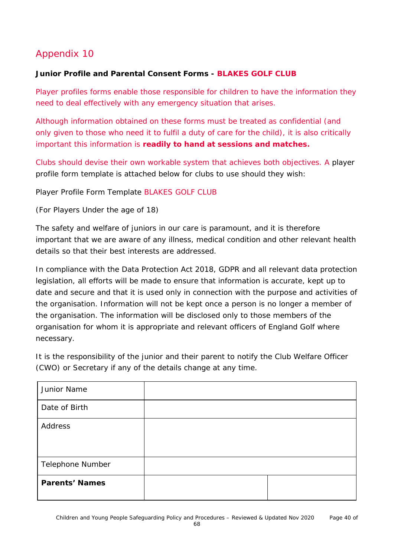### **Junior Profile and Parental Consent Forms - BLAKES GOLF CLUB**

Player profiles forms enable those responsible for children to have the information they need to deal effectively with any emergency situation that arises.

Although information obtained on these forms must be treated as confidential (and only given to those who need it to fulfil a duty of care for the child), it is also critically important this information is **readily to hand at sessions and matches.**

Clubs should devise their own workable system that achieves both objectives. A player profile form template is attached below for clubs to use should they wish:

Player Profile Form Template BLAKES GOLF CLUB

(For Players Under the age of 18)

The safety and welfare of juniors in our care is paramount, and it is therefore important that we are aware of any illness, medical condition and other relevant health details so that their best interests are addressed.

In compliance with the Data Protection Act 2018, GDPR and all relevant data protection legislation, all efforts will be made to ensure that information is accurate, kept up to date and secure and that it is used only in connection with the purpose and activities of the organisation. Information will not be kept once a person is no longer a member of the organisation. The information will be disclosed only to those members of the organisation for whom it is appropriate and relevant officers of England Golf where necessary.

It is the responsibility of the junior and their parent to notify the Club Welfare Officer (CWO) or Secretary if any of the details change at any time.

| Junior Name           |  |
|-----------------------|--|
| Date of Birth         |  |
| Address               |  |
| Telephone Number      |  |
| <b>Parents' Names</b> |  |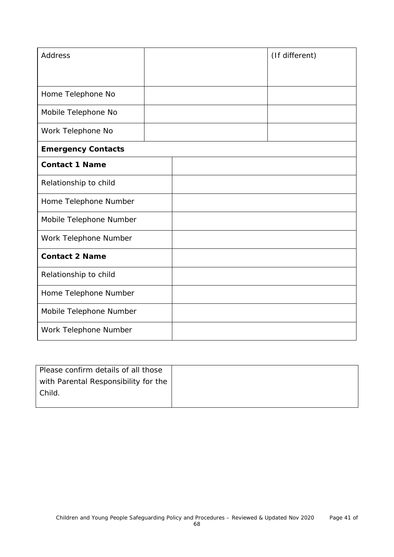| <b>Address</b>            |  | (If different) |
|---------------------------|--|----------------|
|                           |  |                |
|                           |  |                |
| Home Telephone No         |  |                |
| Mobile Telephone No       |  |                |
| Work Telephone No         |  |                |
| <b>Emergency Contacts</b> |  |                |
| <b>Contact 1 Name</b>     |  |                |
| Relationship to child     |  |                |
| Home Telephone Number     |  |                |
| Mobile Telephone Number   |  |                |
| Work Telephone Number     |  |                |
| <b>Contact 2 Name</b>     |  |                |
| Relationship to child     |  |                |
| Home Telephone Number     |  |                |
| Mobile Telephone Number   |  |                |
| Work Telephone Number     |  |                |

| Please confirm details of all those  |  |
|--------------------------------------|--|
| with Parental Responsibility for the |  |
| Child.                               |  |
|                                      |  |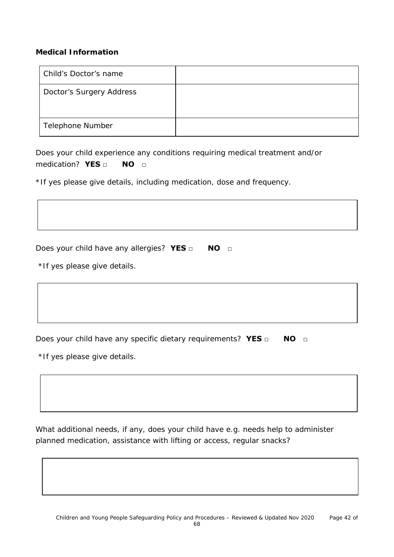#### **Medical Information**

| Child's Doctor's name    |  |
|--------------------------|--|
| Doctor's Surgery Address |  |
|                          |  |
| Telephone Number         |  |

Does your child experience any conditions requiring medical treatment and/or medication? **YES** □ **NO** □

\*If yes please give details, including medication, dose and frequency.

Does your child have any allergies? **YES** □ **NO** □

\*If yes please give details.

Does your child have any specific dietary requirements? **YES □ NO** □

\*If yes please give details.

What additional needs, if any, does your child have e.g. needs help to administer planned medication, assistance with lifting or access, regular snacks?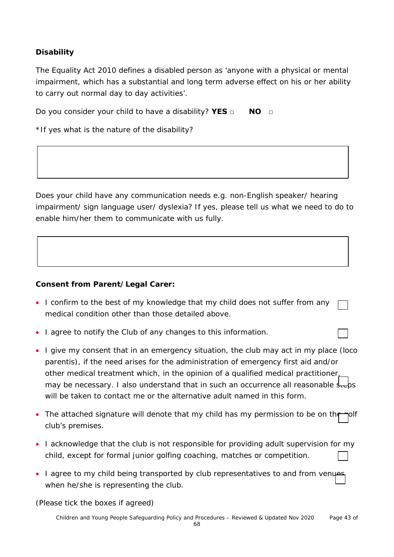### **Disability**

The Equality Act 2010 defines a disabled person as 'anyone with a physical or mental impairment, which has a substantial and long term adverse effect on his or her ability to carry out normal day to day activities'.

Do you consider your child to have a disability? **YES □ NO □**

\*If yes what is the nature of the disability?

Does your child have any communication needs e.g. non-English speaker/ hearing impairment/ sign language user/ dyslexia? If yes, please tell us what we need to do to enable him/her them to communicate with us fully.

### **Consent from Parent/Legal Carer:**

| • I confirm to the best of my knowledge that my child does not suffer from any $\Gamma$ |  |
|-----------------------------------------------------------------------------------------|--|
| medical condition other than those detailed above.                                      |  |

- I agree to notify the Club of any changes to this information.
- I give my consent that in an emergency situation, the club may act in my place (loco parentis), if the need arises for the administration of emergency first aid and/or other medical treatment which, in the opinion of a qualified medical practitioner, may be necessary. I also understand that in such an occurrence all reasonable  $\frac{1}{2}$ will be taken to contact me or the alternative adult named in this form.
- The attached signature will denote that my child has my permission to be on the polf club's premises.
- I acknowledge that the club is not responsible for providing adult supervision for my child, except for formal junior golfing coaching, matches or competition.
- I agree to my child being transported by club representatives to and from venues when he/she is representing the club.

(Please tick the boxes if agreed)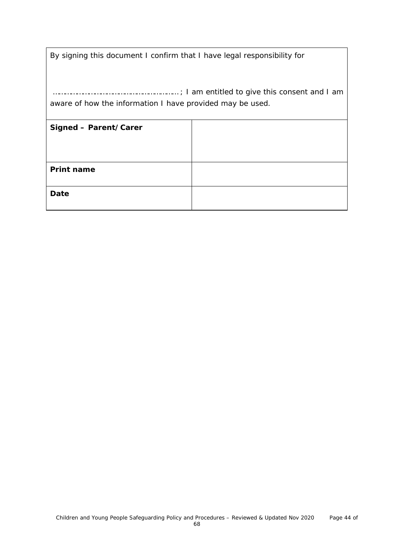| By signing this document I confirm that I have legal responsibility for |  |  |  |  |
|-------------------------------------------------------------------------|--|--|--|--|
| aware of how the information I have provided may be used.               |  |  |  |  |
| Signed - Parent/Carer                                                   |  |  |  |  |
|                                                                         |  |  |  |  |
| <b>Print name</b>                                                       |  |  |  |  |
| Date                                                                    |  |  |  |  |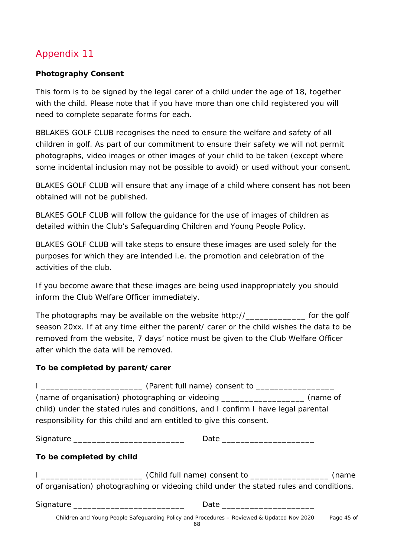### **Photography Consent**

This form is to be signed by the legal carer of a child under the age of 18, together with the child. Please note that if you have more than one child registered you will need to complete separate forms for each.

BBLAKES GOLF CLUB recognises the need to ensure the welfare and safety of all children in golf. As part of our commitment to ensure their safety we will not permit photographs, video images or other images of your child to be taken (except where some incidental inclusion may not be possible to avoid) or used without your consent.

BLAKES GOLF CLUB will ensure that any image of a child where consent has not been obtained will not be published.

BLAKES GOLF CLUB will follow the guidance for the use of images of children as detailed within the Club's Safeguarding Children and Young People Policy.

BLAKES GOLF CLUB will take steps to ensure these images are used solely for the purposes for which they are intended i.e. the promotion and celebration of the activities of the club.

If you become aware that these images are being used inappropriately you should inform the Club Welfare Officer immediately.

The photographs may be available on the website http://\_\_\_\_\_\_\_\_\_\_\_\_\_\_ for the golf season 20xx. If at any time either the parent/ carer or the child wishes the data to be removed from the website, 7 days' notice must be given to the Club Welfare Officer after which the data will be removed.

### **To be completed by parent/carer**

|                                              | (name of organisation) photographing or videoing ______________________ (name of                                                                         |            |
|----------------------------------------------|----------------------------------------------------------------------------------------------------------------------------------------------------------|------------|
|                                              | child) under the stated rules and conditions, and I confirm I have legal parental<br>responsibility for this child and am entitled to give this consent. |            |
| Signature __________________________________ |                                                                                                                                                          |            |
| To be completed by child                     |                                                                                                                                                          |            |
|                                              | I _______________________________(Child full name) consent to ___________________(name                                                                   |            |
|                                              | of organisation) photographing or videoing child under the stated rules and conditions.                                                                  |            |
|                                              |                                                                                                                                                          |            |
|                                              | Children and Young People Safeguarding Policy and Procedures - Reviewed & Updated Nov 2020                                                               | Page 45 of |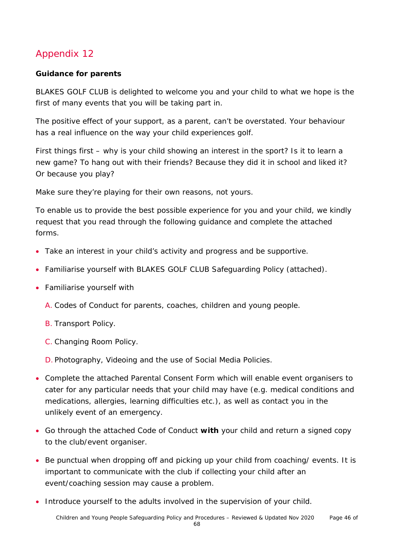### **Guidance for parents**

BLAKES GOLF CLUB is delighted to welcome you and your child to what we hope is the first of many events that you will be taking part in.

The positive effect of your support, as a parent, can't be overstated. Your behaviour has a real influence on the way your child experiences golf.

First things first – why is your child showing an interest in the sport? Is it to learn a new game? To hang out with their friends? Because they did it in school and liked it? Or because you play?

Make sure they're playing for their own reasons, not yours.

To enable us to provide the best possible experience for you and your child, we kindly request that you read through the following guidance and complete the attached forms.

- Take an interest in your child's activity and progress and be supportive.
- Familiarise yourself with BLAKES GOLF CLUB Safeguarding Policy (attached).
- Familiarise yourself with
	- A. Codes of Conduct for parents, coaches, children and young people.
	- B. Transport Policy.
	- C. Changing Room Policy.
	- D. Photography, Videoing and the use of Social Media Policies.
- Complete the attached Parental Consent Form which will enable event organisers to cater for any particular needs that your child may have (e.g. medical conditions and medications, allergies, learning difficulties etc.), as well as contact you in the unlikely event of an emergency.
- Go through the attached Code of Conduct **with** your child and return a signed copy to the club/event organiser.
- Be punctual when dropping off and picking up your child from coaching/ events. It is important to communicate with the club if collecting your child after an event/coaching session may cause a problem.
- Introduce yourself to the adults involved in the supervision of your child.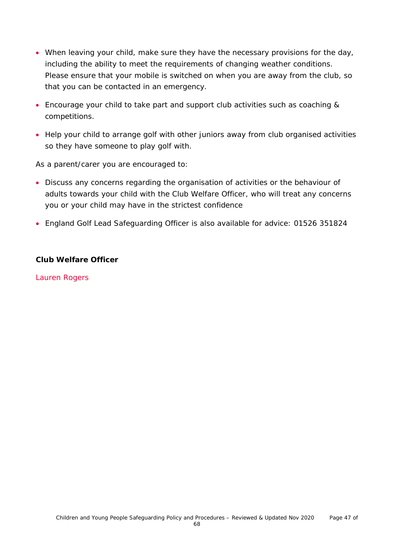- When leaving your child, make sure they have the necessary provisions for the day, including the ability to meet the requirements of changing weather conditions. Please ensure that your mobile is switched on when you are away from the club, so that you can be contacted in an emergency.
- Encourage your child to take part and support club activities such as coaching & competitions.
- Help your child to arrange golf with other juniors away from club organised activities so they have someone to play golf with.

As a parent/carer you are encouraged to:

- Discuss any concerns regarding the organisation of activities or the behaviour of adults towards your child with the Club Welfare Officer, who will treat any concerns you or your child may have in the strictest confidence
- England Golf Lead Safeguarding Officer is also available for advice: 01526 351824

#### **Club Welfare Officer**

Lauren Rogers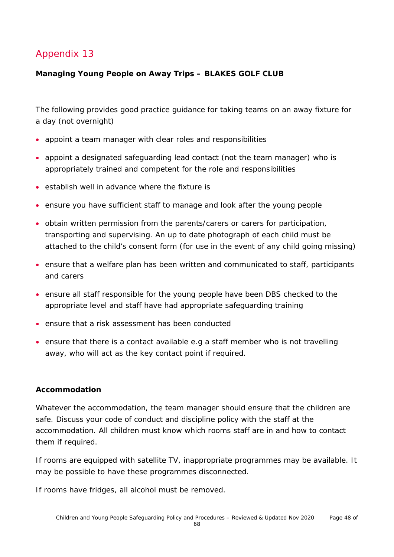### **Managing Young People on Away Trips – BLAKES GOLF CLUB**

The following provides good practice guidance for taking teams on an away fixture for a day (not overnight)

- appoint a team manager with clear roles and responsibilities
- appoint a designated safeguarding lead contact (not the team manager) who is appropriately trained and competent for the role and responsibilities
- establish well in advance where the fixture is
- ensure you have sufficient staff to manage and look after the young people
- obtain written permission from the parents/carers or carers for participation, transporting and supervising. An up to date photograph of each child must be attached to the child's consent form (for use in the event of any child going missing)
- ensure that a welfare plan has been written and communicated to staff, participants and carers
- ensure all staff responsible for the young people have been DBS checked to the appropriate level and staff have had appropriate safeguarding training
- ensure that a risk assessment has been conducted
- ensure that there is a contact available e.g a staff member who is not travelling away, who will act as the key contact point if required.

#### **Accommodation**

Whatever the accommodation, the team manager should ensure that the children are safe. Discuss your code of conduct and discipline policy with the staff at the accommodation. All children must know which rooms staff are in and how to contact them if required.

If rooms are equipped with satellite TV, inappropriate programmes may be available. It may be possible to have these programmes disconnected.

If rooms have fridges, all alcohol must be removed.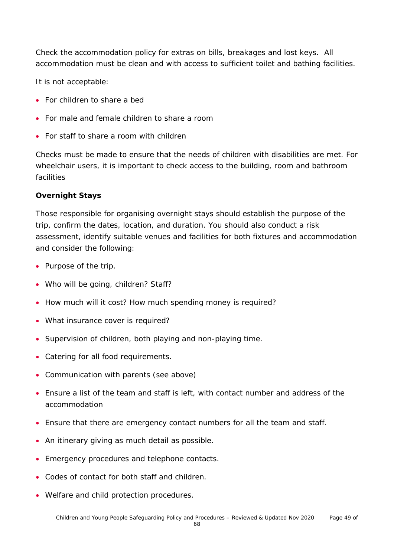Check the accommodation policy for extras on bills, breakages and lost keys. All accommodation must be clean and with access to sufficient toilet and bathing facilities.

It is not acceptable:

- For children to share a bed
- For male and female children to share a room
- For staff to share a room with children

Checks must be made to ensure that the needs of children with disabilities are met. For wheelchair users, it is important to check access to the building, room and bathroom facilities

#### **Overnight Stays**

Those responsible for organising overnight stays should establish the purpose of the trip, confirm the dates, location, and duration. You should also conduct a risk assessment, identify suitable venues and facilities for both fixtures and accommodation and consider the following:

- Purpose of the trip.
- Who will be going, children? Staff?
- How much will it cost? How much spending money is required?
- What insurance cover is required?
- Supervision of children, both playing and non-playing time.
- Catering for all food requirements.
- Communication with parents (see above)
- Ensure a list of the team and staff is left, with contact number and address of the accommodation
- Ensure that there are emergency contact numbers for all the team and staff.
- An itinerary giving as much detail as possible.
- Emergency procedures and telephone contacts.
- Codes of contact for both staff and children.
- Welfare and child protection procedures.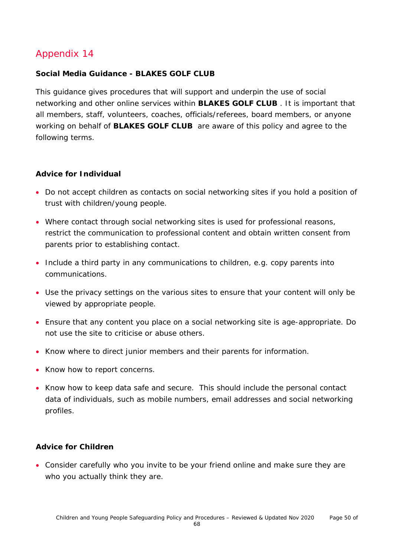#### **Social Media Guidance - BLAKES GOLF CLUB**

This guidance gives procedures that will support and underpin the use of social networking and other online services within **BLAKES GOLF CLUB** . It is important that all members, staff, volunteers, coaches, officials/referees, board members, or anyone working on behalf of **BLAKES GOLF CLUB** are aware of this policy and agree to the following terms.

#### **Advice for Individual**

- Do not accept children as contacts on social networking sites if you hold a position of trust with children/young people.
- Where contact through social networking sites is used for professional reasons, restrict the communication to professional content and obtain written consent from parents prior to establishing contact.
- Include a third party in any communications to children, e.g. copy parents into communications.
- Use the privacy settings on the various sites to ensure that your content will only be viewed by appropriate people.
- Ensure that any content you place on a social networking site is age-appropriate. Do not use the site to criticise or abuse others.
- Know where to direct junior members and their parents for information.
- Know how to report concerns.
- Know how to keep data safe and secure. This should include the personal contact data of individuals, such as mobile numbers, email addresses and social networking profiles.

#### **Advice for Children**

• Consider carefully who you invite to be your friend online and make sure they are who you actually think they are.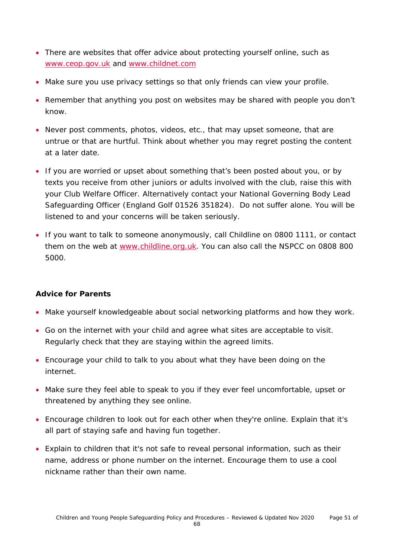- There are websites that offer advice about protecting yourself online, such as [www.ceop.gov.uk](http://www.ceop.gov.uk/) and [www.childnet.com](http://www.childnet.com/)
- Make sure you use privacy settings so that only friends can view your profile.
- Remember that anything you post on websites may be shared with people you don't know.
- Never post comments, photos, videos, etc., that may upset someone, that are untrue or that are hurtful. Think about whether you may regret posting the content at a later date.
- If you are worried or upset about something that's been posted about you, or by texts you receive from other juniors or adults involved with the club, raise this with your Club Welfare Officer. Alternatively contact your National Governing Body Lead Safeguarding Officer (England Golf 01526 351824). Do not suffer alone. You will be listened to and your concerns will be taken seriously.
- If you want to talk to someone anonymously, call Childline on 0800 1111, or contact them on the web at [www.childline.org.uk.](http://www.childline.org.uk/) You can also call the NSPCC on 0808 800 5000.

### **Advice for Parents**

- Make yourself knowledgeable about social networking platforms and how they work.
- Go on the internet with your child and agree what sites are acceptable to visit. Regularly check that they are staying within the agreed limits.
- Encourage your child to talk to you about what they have been doing on the internet.
- Make sure they feel able to speak to you if they ever feel uncomfortable, upset or threatened by anything they see online.
- Encourage children to look out for each other when they're online. Explain that it's all part of staying safe and having fun together.
- Explain to children that it's not safe to reveal personal information, such as their name, address or phone number on the internet. Encourage them to use a cool nickname rather than their own name.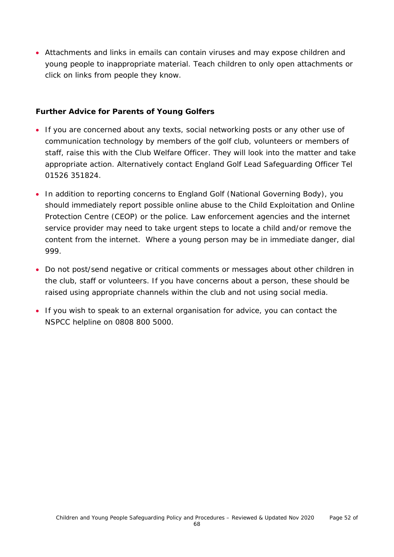• Attachments and links in emails can contain viruses and may expose children and young people to inappropriate material. Teach children to only open attachments or click on links from people they know.

#### **Further Advice for Parents of Young Golfers**

- If you are concerned about any texts, social networking posts or any other use of communication technology by members of the golf club, volunteers or members of staff, raise this with the Club Welfare Officer. They will look into the matter and take appropriate action. Alternatively contact England Golf Lead Safeguarding Officer Tel 01526 351824.
- In addition to reporting concerns to England Golf (National Governing Body), you should immediately report possible online abuse to the Child Exploitation and Online Protection Centre (CEOP) or the police. Law enforcement agencies and the internet service provider may need to take urgent steps to locate a child and/or remove the content from the internet. Where a young person may be in immediate danger, dial 999.
- Do not post/send negative or critical comments or messages about other children in the club, staff or volunteers. If you have concerns about a person, these should be raised using appropriate channels within the club and not using social media.
- If you wish to speak to an external organisation for advice, you can contact the NSPCC helpline on 0808 800 5000.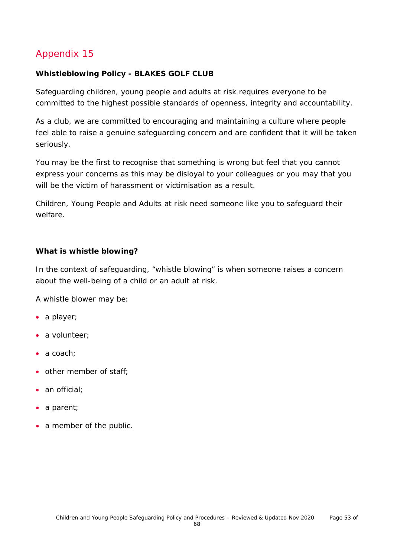### **Whistleblowing Policy - BLAKES GOLF CLUB**

Safeguarding children, young people and adults at risk requires everyone to be committed to the highest possible standards of openness, integrity and accountability.

As a club, we are committed to encouraging and maintaining a culture where people feel able to raise a genuine safeguarding concern and are confident that it will be taken seriously.

You may be the first to recognise that something is wrong but feel that you cannot express your concerns as this may be disloyal to your colleagues or you may that you will be the victim of harassment or victimisation as a result.

Children, Young People and Adults at risk need someone like you to safeguard their welfare.

#### **What is whistle blowing?**

In the context of safeguarding, "whistle blowing" is when someone raises a concern about the well-being of a child or an adult at risk.

A whistle blower may be:

- a player;
- a volunteer;
- a coach:
- other member of staff;
- an official:
- a parent;
- a member of the public.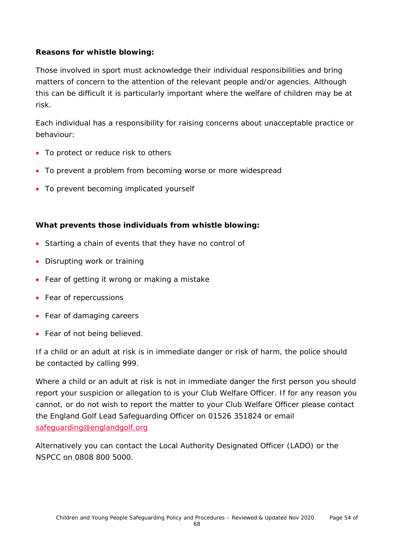### **Reasons for whistle blowing:**

Those involved in sport must acknowledge their individual responsibilities and bring matters of concern to the attention of the relevant people and/or agencies. Although this can be difficult it is particularly important where the welfare of children may be at risk.

Each individual has a responsibility for raising concerns about unacceptable practice or behaviour:

- To protect or reduce risk to others
- To prevent a problem from becoming worse or more widespread
- To prevent becoming implicated yourself

### **What prevents those individuals from whistle blowing:**

- Starting a chain of events that they have no control of
- Disrupting work or training
- Fear of getting it wrong or making a mistake
- Fear of repercussions
- Fear of damaging careers
- Fear of not being believed.

If a child or an adult at risk is in immediate danger or risk of harm, the police should be contacted by calling 999.

Where a child or an adult at risk is not in immediate danger the first person you should report your suspicion or allegation to is your Club Welfare Officer. If for any reason you cannot, or do not wish to report the matter to your Club Welfare Officer please contact the England Golf Lead Safeguarding Officer on 01526 351824 or email [safeguarding@englandgolf.org](mailto:safeguarding@englandgolf.org)

Alternatively you can contact the Local Authority Designated Officer (LADO) or the NSPCC on 0808 800 5000.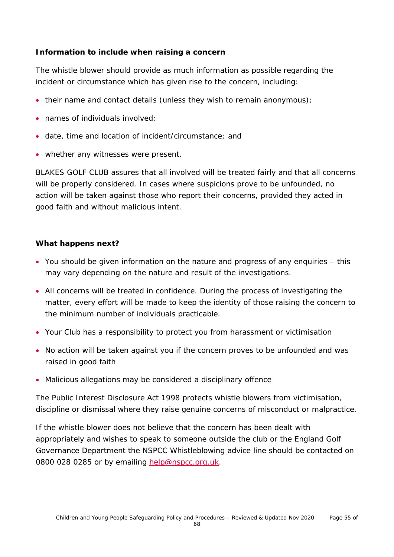### **Information to include when raising a concern**

The whistle blower should provide as much information as possible regarding the incident or circumstance which has given rise to the concern, including:

- their name and contact details (unless they wish to remain anonymous);
- names of individuals involved;
- date, time and location of incident/circumstance; and
- whether any witnesses were present.

BLAKES GOLF CLUB assures that all involved will be treated fairly and that all concerns will be properly considered. In cases where suspicions prove to be unfounded, no action will be taken against those who report their concerns, provided they acted in good faith and without malicious intent.

### **What happens next?**

- You should be given information on the nature and progress of any enquiries this may vary depending on the nature and result of the investigations.
- All concerns will be treated in confidence. During the process of investigating the matter, every effort will be made to keep the identity of those raising the concern to the minimum number of individuals practicable.
- Your Club has a responsibility to protect you from harassment or victimisation
- No action will be taken against you if the concern proves to be unfounded and was raised in good faith
- Malicious allegations may be considered a disciplinary offence

The Public Interest Disclosure Act 1998 protects whistle blowers from victimisation, discipline or dismissal where they raise genuine concerns of misconduct or malpractice.

If the whistle blower does not believe that the concern has been dealt with appropriately and wishes to speak to someone outside the club or the England Golf Governance Department the NSPCC Whistleblowing advice line should be contacted on 0800 028 0285 or by emailing [help@nspcc.org.uk.](mailto:help@nspcc.org.uk)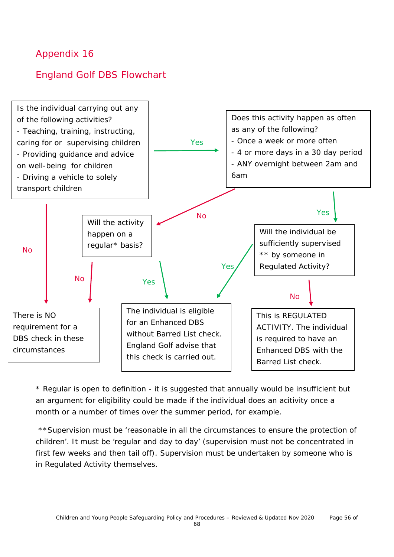### England Golf DBS Flowchart



\* Regular is open to definition - it is suggested that annually would be insufficient but an argument for eligibility could be made if the individual does an acitivity once a month or a number of times over the summer period, for example.

\*\*Supervision must be 'reasonable in all the circumstances to ensure the protection of children'. It must be 'regular and day to day' (supervision must not be concentrated in first few weeks and then tail off). Supervision must be undertaken by someone who is in Regulated Activity themselves.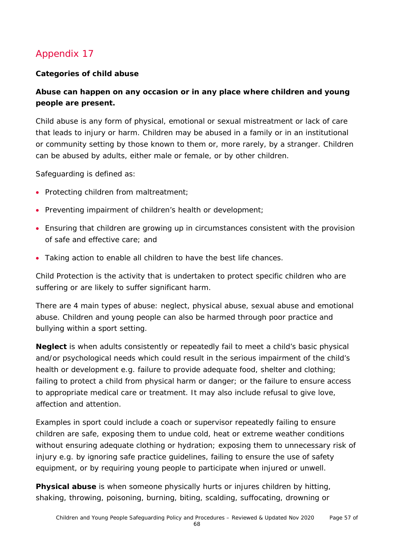### **Categories of child abuse**

### **Abuse can happen on any occasion or in any place where children and young people are present.**

Child abuse is any form of physical, emotional or sexual mistreatment or lack of care that leads to injury or harm. Children may be abused in a family or in an institutional or community setting by those known to them or, more rarely, by a stranger. Children can be abused by adults, either male or female, or by other children.

Safeguarding is defined as:

- Protecting children from maltreatment;
- Preventing impairment of children's health or development;
- Ensuring that children are growing up in circumstances consistent with the provision of safe and effective care; and
- Taking action to enable all children to have the best life chances.

Child Protection is the activity that is undertaken to protect specific children who are suffering or are likely to suffer significant harm.

There are 4 main types of abuse: neglect, physical abuse, sexual abuse and emotional abuse. Children and young people can also be harmed through poor practice and bullying within a sport setting.

**Neglect** is when adults consistently or repeatedly fail to meet a child's basic physical and/or psychological needs which could result in the serious impairment of the child's health or development e.g. failure to provide adequate food, shelter and clothing; failing to protect a child from physical harm or danger; or the failure to ensure access to appropriate medical care or treatment. It may also include refusal to give love, affection and attention.

Examples in sport could include a coach or supervisor repeatedly failing to ensure children are safe, exposing them to undue cold, heat or extreme weather conditions without ensuring adequate clothing or hydration; exposing them to unnecessary risk of injury e.g. by ignoring safe practice guidelines, failing to ensure the use of safety equipment, or by requiring young people to participate when injured or unwell.

**Physical abuse** is when someone physically hurts or injures children by hitting, shaking, throwing, poisoning, burning, biting, scalding, suffocating, drowning or

68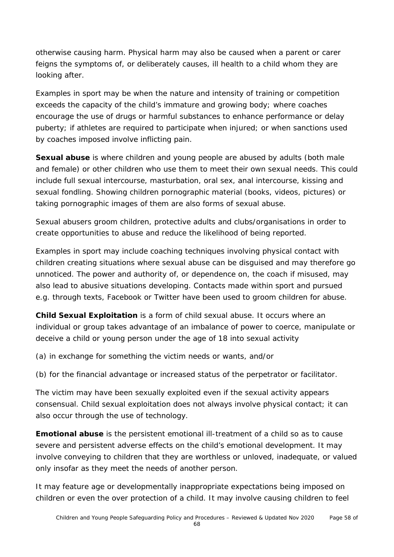otherwise causing harm. Physical harm may also be caused when a parent or carer feigns the symptoms of, or deliberately causes, ill health to a child whom they are looking after.

Examples in sport may be when the nature and intensity of training or competition exceeds the capacity of the child's immature and growing body; where coaches encourage the use of drugs or harmful substances to enhance performance or delay puberty; if athletes are required to participate when injured; or when sanctions used by coaches imposed involve inflicting pain.

**Sexual abuse** is where children and young people are abused by adults (both male and female) or other children who use them to meet their own sexual needs. This could include full sexual intercourse, masturbation, oral sex, anal intercourse, kissing and sexual fondling. Showing children pornographic material (books, videos, pictures) or taking pornographic images of them are also forms of sexual abuse.

Sexual abusers groom children, protective adults and clubs/organisations in order to create opportunities to abuse and reduce the likelihood of being reported.

Examples in sport may include coaching techniques involving physical contact with children creating situations where sexual abuse can be disguised and may therefore go unnoticed. The power and authority of, or dependence on, the coach if misused, may also lead to abusive situations developing. Contacts made within sport and pursued e.g. through texts, Facebook or Twitter have been used to groom children for abuse.

**Child Sexual Exploitation** is a form of child sexual abuse. It occurs where an individual or group takes advantage of an imbalance of power to coerce, manipulate or deceive a child or young person under the age of 18 into sexual activity

(a) in exchange for something the victim needs or wants, and/or

(b) for the financial advantage or increased status of the perpetrator or facilitator.

The victim may have been sexually exploited even if the sexual activity appears consensual. Child sexual exploitation does not always involve physical contact; it can also occur through the use of technology.

**Emotional abuse** is the persistent emotional ill-treatment of a child so as to cause severe and persistent adverse effects on the child's emotional development. It may involve conveying to children that they are worthless or unloved, inadequate, or valued only insofar as they meet the needs of another person.

It may feature age or developmentally inappropriate expectations being imposed on children or even the over protection of a child. It may involve causing children to feel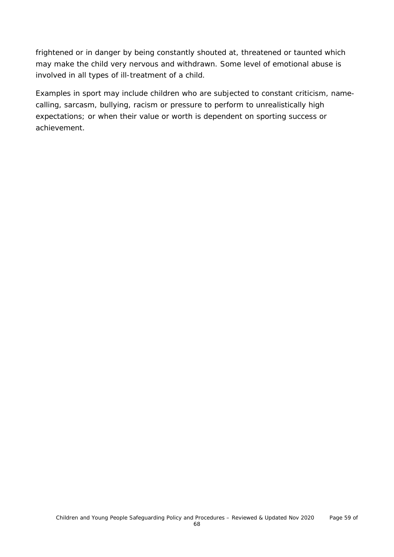frightened or in danger by being constantly shouted at, threatened or taunted which may make the child very nervous and withdrawn. Some level of emotional abuse is involved in all types of ill-treatment of a child.

Examples in sport may include children who are subjected to constant criticism, namecalling, sarcasm, bullying, racism or pressure to perform to unrealistically high expectations; or when their value or worth is dependent on sporting success or achievement.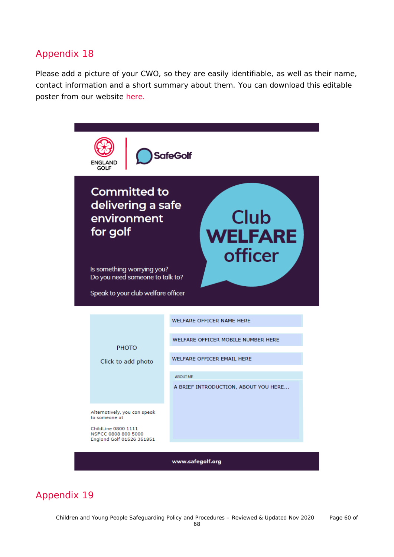Please add a picture of your CWO, so they are easily identifiable, as well as their name, contact information and a short summary about them. You can download this editable poster from our website [here.](https://www.englandgolf.org/download/club-welfare-officer-editable-poster/)



### Appendix 19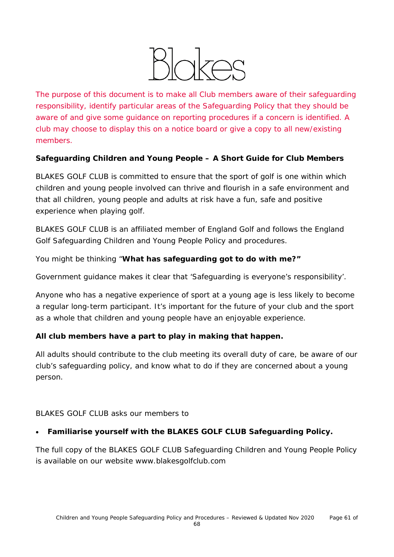

*The purpose of this document is to make all Club members aware of their safeguarding responsibility, identify particular areas of the Safeguarding Policy that they should be aware of and give some guidance on reporting procedures if a concern is identified. A club may choose to display this on a notice board or give a copy to all new/existing members.* 

### **Safeguarding Children and Young People – A Short Guide for Club Members**

BLAKES GOLF CLUB is committed to ensure that the sport of golf is one within which children and young people involved can thrive and flourish in a safe environment and that all children, young people and adults at risk have a fun, safe and positive experience when playing golf.

BLAKES GOLF CLUB is an affiliated member of England Golf and follows the England Golf Safeguarding Children and Young People Policy and procedures.

You might be thinking "**What has safeguarding got to do with me?"**

Government guidance makes it clear that 'Safeguarding is everyone's responsibility'.

Anyone who has a negative experience of sport at a young age is less likely to become a regular long-term participant. It's important for the future of your club and the sport as a whole that children and young people have an enjoyable experience.

### **All club members have a part to play in making that happen.**

All adults should contribute to the club meeting its overall duty of care, be aware of our club's safeguarding policy, and know what to do if they are concerned about a young person.

### BLAKES GOLF CLUB asks our members to

### • **Familiarise yourself with the BLAKES GOLF CLUB Safeguarding Policy.**

*The full copy of the BLAKES GOLF CLUB Safeguarding Children and Young People Policy is available on our website www.blakesgolfclub.com*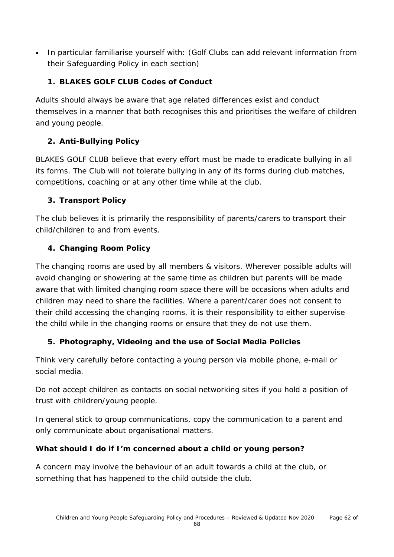• In particular familiarise yourself with: *(Golf Clubs can add relevant information from their Safeguarding Policy in each section)*

### **1. BLAKES GOLF CLUB Codes of Conduct**

Adults should always be aware that age related differences exist and conduct themselves in a manner that both recognises this and prioritises the welfare of children and young people.

### **2. Anti-Bullying Policy**

BLAKES GOLF CLUB believe that every effort must be made to eradicate bullying in all its forms. The Club will not tolerate bullying in any of its forms during club matches, competitions, coaching or at any other time while at the club.

### **3. Transport Policy**

The club believes it is primarily the responsibility of parents/carers to transport their child/children to and from events.

### **4. Changing Room Policy**

The changing rooms are used by all members & visitors. Wherever possible adults will avoid changing or showering at the same time as children but parents will be made aware that with limited changing room space there will be occasions when adults and children may need to share the facilities. Where a parent/carer does not consent to their child accessing the changing rooms, it is their responsibility to either supervise the child while in the changing rooms or ensure that they do not use them.

### **5. Photography, Videoing and the use of Social Media Policies**

Think very carefully before contacting a young person via mobile phone, e-mail or social media.

Do not accept children as contacts on social networking sites if you hold a position of trust with children/young people.

In general stick to group communications, copy the communication to a parent and only communicate about organisational matters.

### **What should I do if I'm concerned about a child or young person?**

A concern may involve the behaviour of an adult towards a child at the club, or something that has happened to the child outside the club.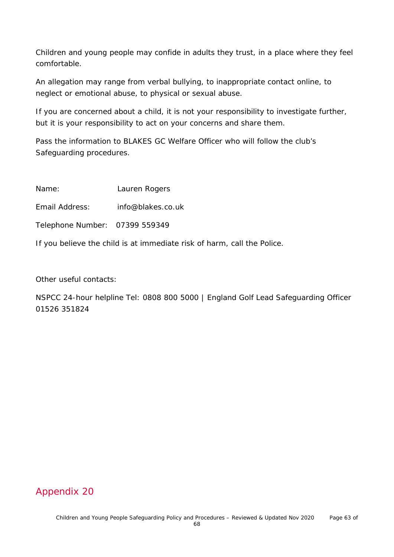Children and young people may confide in adults they trust, in a place where they feel comfortable.

An allegation may range from verbal bullying, to inappropriate contact online, to neglect or emotional abuse, to physical or sexual abuse.

If you are concerned about a child, it is not your responsibility to investigate further, but it is your responsibility to act on your concerns and share them.

Pass the information to BLAKES GC Welfare Officer who will follow the club's Safeguarding procedures.

Name: Lauren Rogers

Email Address: info@blakes.co.uk

Telephone Number: 07399 559349

If you believe the child is at immediate risk of harm, call the Police.

Other useful contacts:

NSPCC 24-hour helpline Tel: 0808 800 5000 | England Golf Lead Safeguarding Officer 01526 351824

### Appendix 20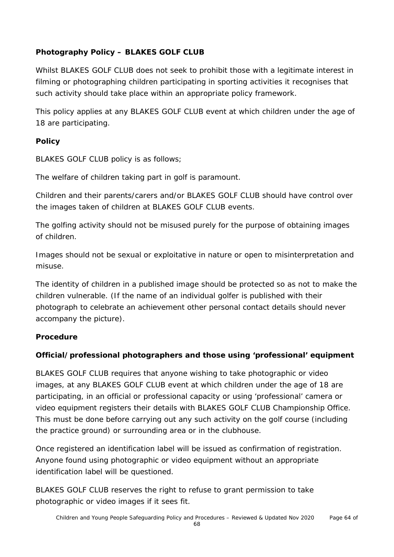### **Photography Policy – BLAKES GOLF CLUB**

Whilst BLAKES GOLF CLUB does not seek to prohibit those with a legitimate interest in filming or photographing children participating in sporting activities it recognises that such activity should take place within an appropriate policy framework.

This policy applies at any BLAKES GOLF CLUB event at which children under the age of 18 are participating.

### **Policy**

BLAKES GOLF CLUB policy is as follows;

The welfare of children taking part in golf is paramount.

Children and their parents/carers and/or BLAKES GOLF CLUB should have control over the images taken of children at BLAKES GOLF CLUB events.

The golfing activity should not be misused purely for the purpose of obtaining images of children.

Images should not be sexual or exploitative in nature or open to misinterpretation and misuse.

The identity of children in a published image should be protected so as not to make the children vulnerable. (If the name of an individual golfer is published with their photograph to celebrate an achievement other personal contact details should never accompany the picture).

### **Procedure**

### **Official/professional photographers and those using 'professional' equipment**

BLAKES GOLF CLUB requires that anyone wishing to take photographic or video images, at any BLAKES GOLF CLUB event at which children under the age of 18 are participating, in an official or professional capacity or using 'professional' camera or video equipment registers their details with BLAKES GOLF CLUB Championship Office. This must be done before carrying out any such activity on the golf course (including the practice ground) or surrounding area or in the clubhouse.

Once registered an identification label will be issued as confirmation of registration. Anyone found using photographic or video equipment without an appropriate identification label will be questioned.

BLAKES GOLF CLUB reserves the right to refuse to grant permission to take photographic or video images if it sees fit.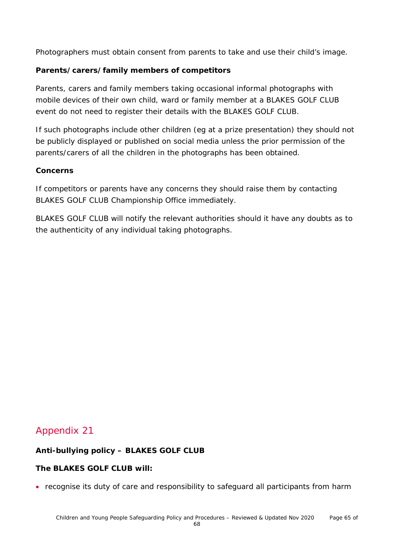Photographers must obtain consent from parents to take and use their child's image.

### **Parents/carers/family members of competitors**

Parents, carers and family members taking occasional informal photographs with mobile devices of their own child, ward or family member at a BLAKES GOLF CLUB event do not need to register their details with the BLAKES GOLF CLUB.

If such photographs include other children (eg at a prize presentation) they should not be publicly displayed or published on social media unless the prior permission of the parents/carers of all the children in the photographs has been obtained.

#### **Concerns**

If competitors or parents have any concerns they should raise them by contacting BLAKES GOLF CLUB Championship Office immediately.

BLAKES GOLF CLUB will notify the relevant authorities should it have any doubts as to the authenticity of any individual taking photographs.

### Appendix 21

### **Anti-bullying policy – BLAKES GOLF CLUB**

### **The BLAKES GOLF CLUB will:**

• recognise its duty of care and responsibility to safeguard all participants from harm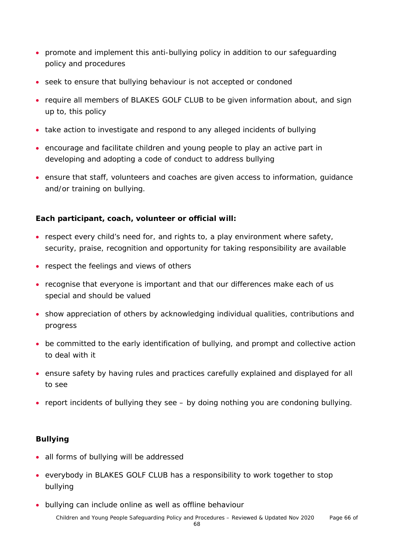- promote and implement this anti-bullying policy in addition to our safeguarding policy and procedures
- seek to ensure that bullying behaviour is not accepted or condoned
- require all members of BLAKES GOLF CLUB to be given information about, and sign up to, this policy
- take action to investigate and respond to any alleged incidents of bullying
- encourage and facilitate children and young people to play an active part in developing and adopting a code of conduct to address bullying
- ensure that staff, volunteers and coaches are given access to information, guidance and/or training on bullying.

### **Each participant, coach, volunteer or official will:**

- respect every child's need for, and rights to, a play environment where safety, security, praise, recognition and opportunity for taking responsibility are available
- respect the feelings and views of others
- recognise that everyone is important and that our differences make each of us special and should be valued
- show appreciation of others by acknowledging individual qualities, contributions and progress
- be committed to the early identification of bullying, and prompt and collective action to deal with it
- ensure safety by having rules and practices carefully explained and displayed for all to see
- report incidents of bullying they see by doing nothing you are condoning bullying.

### **Bullying**

- all forms of bullying will be addressed
- everybody in BLAKES GOLF CLUB has a responsibility to work together to stop bullying
- bullying can include online as well as offline behaviour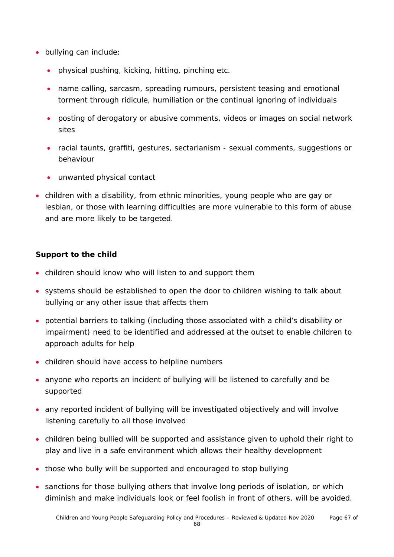- bullying can include:
	- physical pushing, kicking, hitting, pinching etc.
	- name calling, sarcasm, spreading rumours, persistent teasing and emotional torment through ridicule, humiliation or the continual ignoring of individuals
	- posting of derogatory or abusive comments, videos or images on social network sites
	- racial taunts, graffiti, gestures, sectarianism sexual comments, suggestions or behaviour
	- unwanted physical contact
- children with a disability, from ethnic minorities, young people who are gay or lesbian, or those with learning difficulties are more vulnerable to this form of abuse and are more likely to be targeted.

### **Support to the child**

- children should know who will listen to and support them
- systems should be established to open the door to children wishing to talk about bullying or any other issue that affects them
- potential barriers to talking (including those associated with a child's disability or impairment) need to be identified and addressed at the outset to enable children to approach adults for help
- children should have access to helpline numbers
- anyone who reports an incident of bullying will be listened to carefully and be supported
- any reported incident of bullying will be investigated objectively and will involve listening carefully to all those involved
- children being bullied will be supported and assistance given to uphold their right to play and live in a safe environment which allows their healthy development
- those who bully will be supported and encouraged to stop bullying
- sanctions for those bullying others that involve long periods of isolation, or which diminish and make individuals look or feel foolish in front of others, will be avoided.